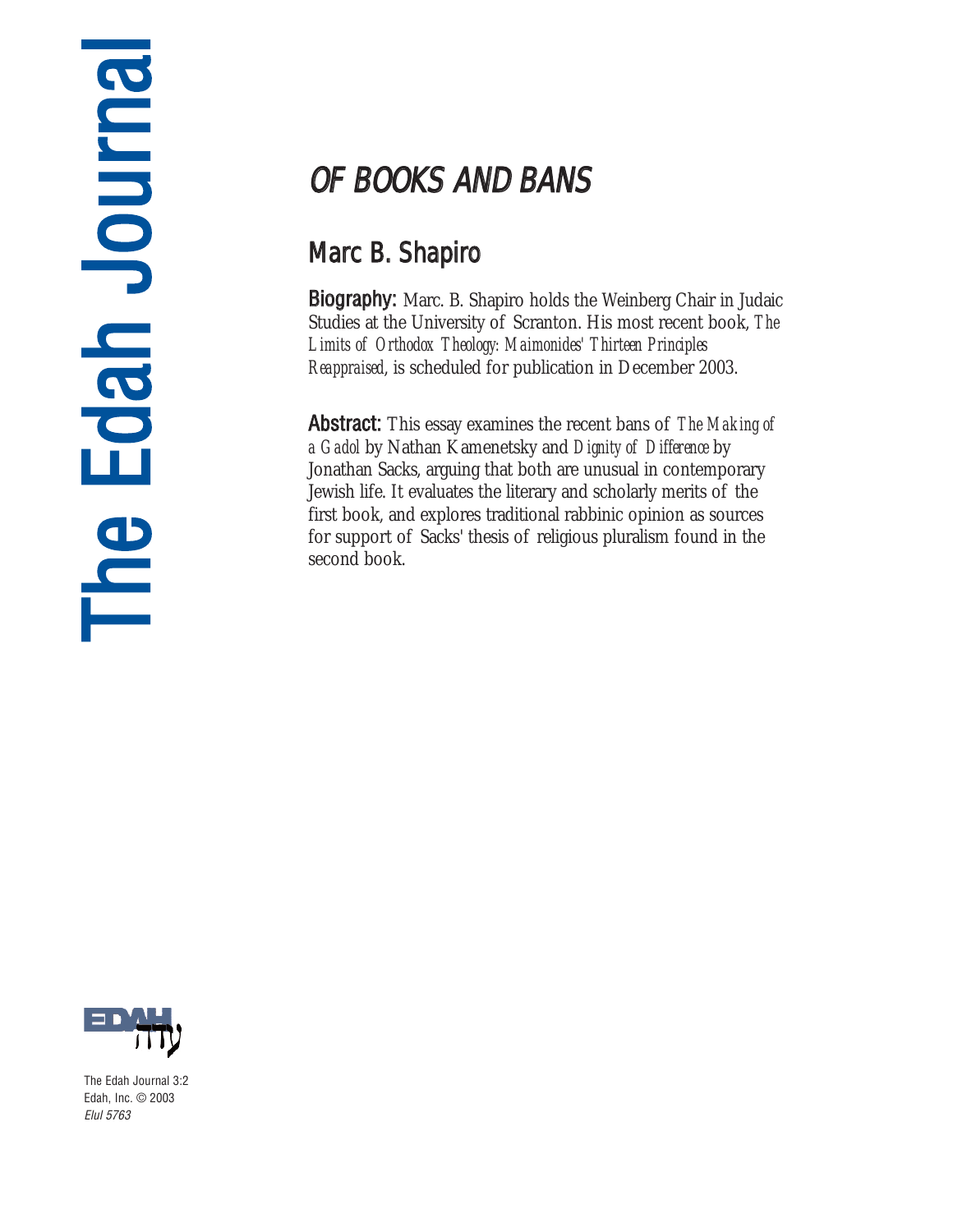# $\equiv$ h e<br>G **d a** h J o <u>u</u> r n **a**

## OF BOOKS AND BANS

### Marc B. Shapiro

Biography: Marc. B. Shapiro holds the Weinberg Chair in Judaic Studies at the University of Scranton. His most recent book, *The Limits of Orthodox Theology: Maimonides' Thirteen Principles Reappraised*, is scheduled for publication in December 2003.

Abstract: This essay examines the recent bans of *The Making of a Gadol* by Nathan Kamenetsky and *Dignity of Difference* by Jonathan Sacks, arguing that both are unusual in contemporary Jewish life. It evaluates the literary and scholarly merits of the first book, and explores traditional rabbinic opinion as sources for support of Sacks' thesis of religious pluralism found in the second book.



The Edah Journal 3:2 Edah, Inc. © 2003 Elul 5763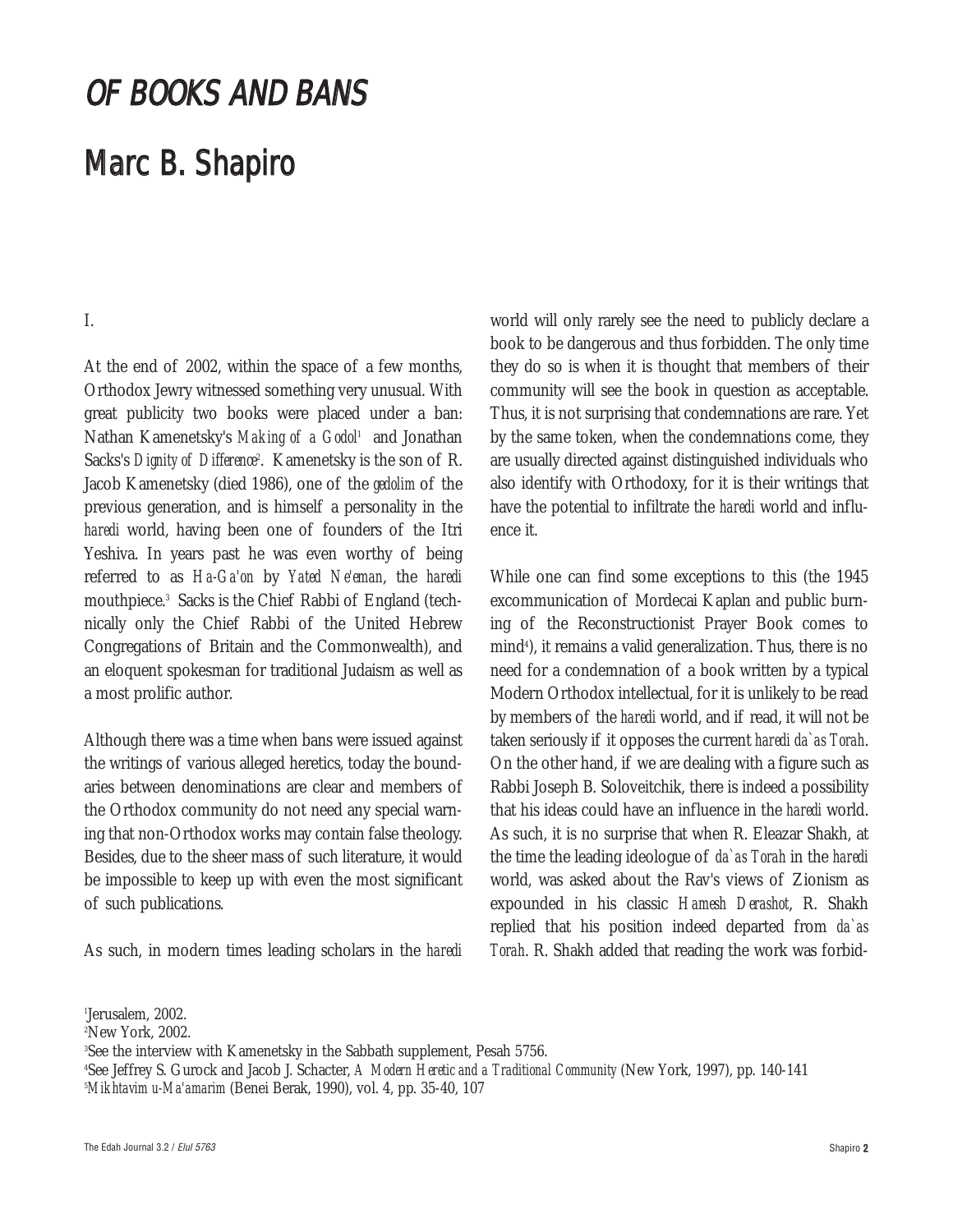### OF BOOKS AND BANS

#### Marc B. Shapiro

#### I.

At the end of 2002, within the space of a few months, Orthodox Jewry witnessed something very unusual. With great publicity two books were placed under a ban: Nathan Kamenetsky's *Making of a Godol* and Jonathan Sacks's *Dignity of Difference*. Kamenetsky is the son of R. Jacob Kamenetsky (died 1986), one of the *gedolim* of the previous generation, and is himself a personality in the *haredi* world, having been one of founders of the Itri Yeshiva. In years past he was even worthy of being referred to as *Ha-Ga'on* by *Yated Ne'eman*, the *haredi* mouthpiece.3 Sacks is the Chief Rabbi of England (technically only the Chief Rabbi of the United Hebrew Congregations of Britain and the Commonwealth), and an eloquent spokesman for traditional Judaism as well as a most prolific author.

Although there was a time when bans were issued against the writings of various alleged heretics, today the boundaries between denominations are clear and members of the Orthodox community do not need any special warning that non-Orthodox works may contain false theology. Besides, due to the sheer mass of such literature, it would be impossible to keep up with even the most significant of such publications.

As such, in modern times leading scholars in the *haredi*

world will only rarely see the need to publicly declare a book to be dangerous and thus forbidden. The only time they do so is when it is thought that members of their community will see the book in question as acceptable. Thus, it is not surprising that condemnations are rare. Yet by the same token, when the condemnations come, they are usually directed against distinguished individuals who also identify with Orthodoxy, for it is their writings that have the potential to infiltrate the *haredi* world and influence it.

While one can find some exceptions to this (the 1945 excommunication of Mordecai Kaplan and public burning of the Reconstructionist Prayer Book comes to mind4 ), it remains a valid generalization. Thus, there is no need for a condemnation of a book written by a typical Modern Orthodox intellectual, for it is unlikely to be read by members of the *haredi* world, and if read, it will not be taken seriously if it opposes the current *haredi da`as Torah*. On the other hand, if we are dealing with a figure such as Rabbi Joseph B. Soloveitchik, there is indeed a possibility that his ideas could have an influence in the *haredi* world. As such, it is no surprise that when R. Eleazar Shakh, at the time the leading ideologue of *da`as Torah* in the *haredi* world, was asked about the Rav's views of Zionism as expounded in his classic *Hamesh Derashot*, R. Shakh replied that his position indeed departed from *da`as Torah*. R. Shakh added that reading the work was forbid-

1 Jerusalem, 2002.

2 New York, 2002.

3 See the interview with Kamenetsky in the Sabbath supplement, Pesah 5756.

4 See Jeffrey S. Gurock and Jacob J. Schacter, *A Modern Heretic and a Traditional Community* (New York, 1997), pp. 140-141 5 *Mikhtavim u-Ma'amarim* (Benei Berak, 1990), vol. 4, pp. 35-40, 107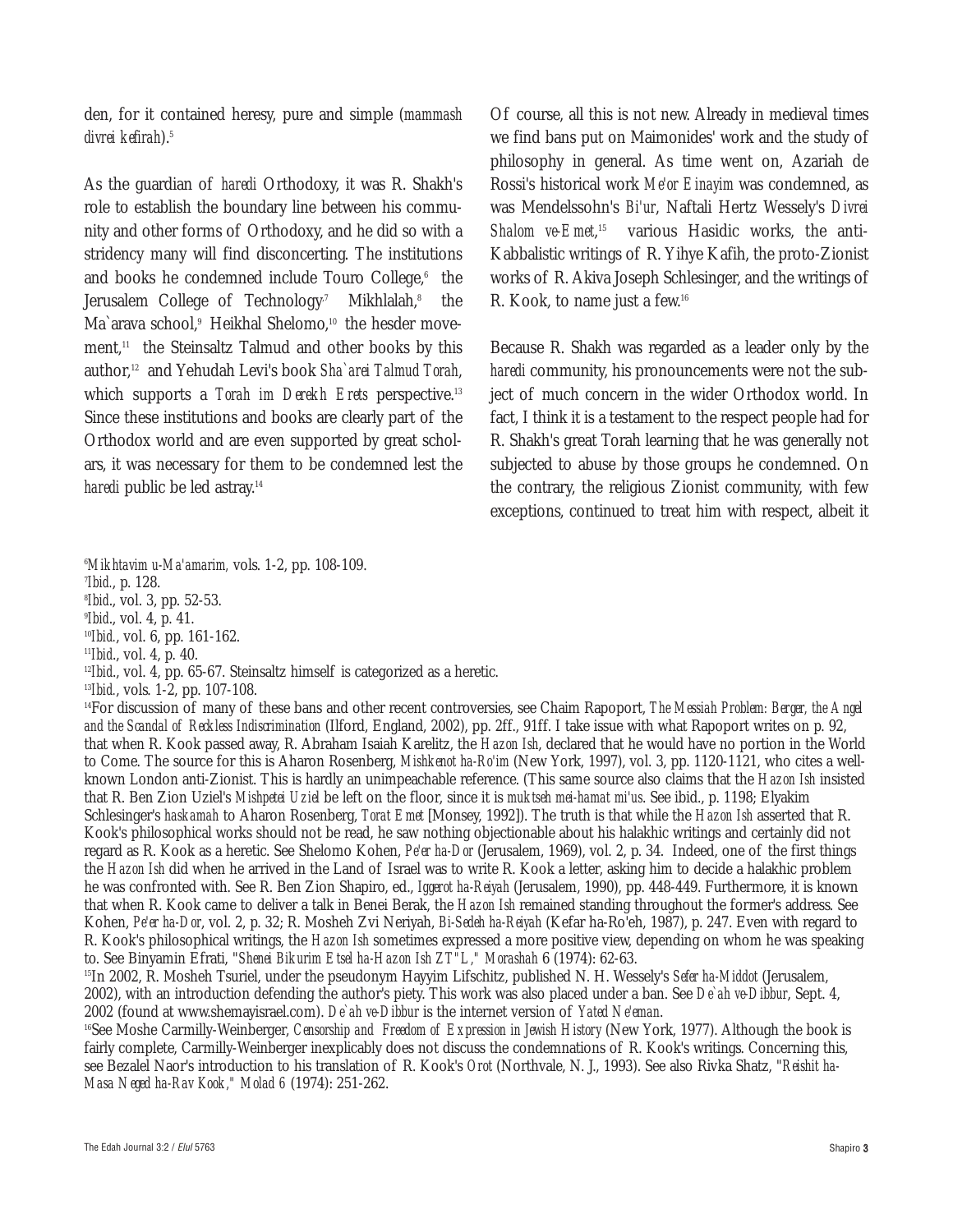den, for it contained heresy, pure and simple (*mammash divrei kefirah*).5

As the guardian of *haredi* Orthodoxy, it was R. Shakh's role to establish the boundary line between his community and other forms of Orthodoxy, and he did so with a stridency many will find disconcerting. The institutions and books he condemned include Touro College, $6$  the Jerusalem College of Technology<sup>7</sup> Mikhlalah,<sup>8</sup> the Ma`arava school,<sup>9</sup> Heikhal Shelomo,<sup>10</sup> the hesder movement,<sup>11</sup> the Steinsaltz Talmud and other books by this author,12 and Yehudah Levi's book *Sha`arei Talmud Torah*, which supports a *Torah im Derekh Erets* perspective.<sup>13</sup> Since these institutions and books are clearly part of the Orthodox world and are even supported by great scholars, it was necessary for them to be condemned lest the *haredi* public be led astray.<sup>14</sup>

6 *Mikhtavim u-Ma'amarim,* vols. 1-2, pp. 108-109.

7 *Ibid.*, p. 128.

8 *Ibid*., vol. 3, pp. 52-53.

9 *Ibid*., vol. 4, p. 41.

<sup>10</sup>*Ibid.*, vol. 6, pp. 161-162.

<sup>11</sup>*Ibid*., vol. 4, p. 40.

<sup>12</sup>*Ibid.*, vol. 4, pp. 65-67. Steinsaltz himself is categorized as a heretic.

<sup>13</sup>*Ibid.*, vols. 1-2, pp. 107-108.

14For discussion of many of these bans and other recent controversies, see Chaim Rapoport, *The Messiah Problem: Berger, the Angel and the Scandal of Reckless Indiscrimination* (Ilford, England, 2002), pp. 2ff., 91ff. I take issue with what Rapoport writes on p. 92, that when R. Kook passed away, R. Abraham Isaiah Karelitz, the *Hazon Ish*, declared that he would have no portion in the World to Come. The source for this is Aharon Rosenberg, *Mishkenot ha-Ro'im* (New York, 1997), vol. 3, pp. 1120-1121, who cites a wellknown London anti-Zionist. This is hardly an unimpeachable reference. (This same source also claims that the *Hazon Ish* insisted that R. Ben Zion Uziel's *Mishpetei Uziel* be left on the floor, since it is *muktseh mei-hamat mi'us*. See ibid., p. 1198; Elyakim Schlesinger's *haskamah* to Aharon Rosenberg, *Torat Emet* [Monsey, 1992]). The truth is that while the *Hazon Ish* asserted that R. Kook's philosophical works should not be read, he saw nothing objectionable about his halakhic writings and certainly did not regard as R. Kook as a heretic. See Shelomo Kohen, *Pe'er ha-Dor* (Jerusalem, 1969), vol. 2, p. 34. Indeed, one of the first things the *Hazon Ish* did when he arrived in the Land of Israel was to write R. Kook a letter, asking him to decide a halakhic problem he was confronted with. See R. Ben Zion Shapiro, ed., *Iggerot ha-Reiyah* (Jerusalem, 1990), pp. 448-449. Furthermore, it is known that when R. Kook came to deliver a talk in Benei Berak, the *Hazon Ish* remained standing throughout the former's address. See Kohen, *Pe'er ha-Dor*, vol. 2, p. 32; R. Mosheh Zvi Neriyah, *Bi-Sedeh ha-Reiyah* (Kefar ha-Ro'eh, 1987), p. 247. Even with regard to R. Kook's philosophical writings, the *Hazon Ish* sometimes expressed a more positive view, depending on whom he was speaking to. See Binyamin Efrati, "*Shenei Bikurim Etsel ha-Hazon Ish ZT"L," Morashah* 6 (1974): 62-63.

15In 2002, R. Mosheh Tsuriel, under the pseudonym Hayyim Lifschitz, published N. H. Wessely's *Sefer ha-Middot* (Jerusalem, 2002), with an introduction defending the author's piety. This work was also placed under a ban. See *De`ah ve-Dibbur*, Sept. 4, 2002 (found at www.shemayisrael.com). *De`ah ve-Dibbur* is the internet version of *Yated Ne'eman*.

16See Moshe Carmilly-Weinberger, *Censorship and Freedom of Expression in Jewish History* (New York, 1977). Although the book is fairly complete, Carmilly-Weinberger inexplicably does not discuss the condemnations of R. Kook's writings. Concerning this, see Bezalel Naor's introduction to his translation of R. Kook's *Orot* (Northvale, N. J., 1993). See also Rivka Shatz, "*Reishit ha-Masa Neged ha-Rav Kook," Molad 6* (1974): 251-262.

Of course, all this is not new. Already in medieval times we find bans put on Maimonides' work and the study of philosophy in general. As time went on, Azariah de Rossi's historical work *Me'or Einayim* was condemned, as was Mendelssohn's *Bi'ur*, Naftali Hertz Wessely's *Divrei Shalom ve-Emet*, <sup>15</sup> various Hasidic works, the anti-Kabbalistic writings of R. Yihye Kafih, the proto-Zionist works of R. Akiva Joseph Schlesinger, and the writings of R. Kook, to name just a few.16

Because R. Shakh was regarded as a leader only by the *haredi* community, his pronouncements were not the subject of much concern in the wider Orthodox world. In fact, I think it is a testament to the respect people had for R. Shakh's great Torah learning that he was generally not subjected to abuse by those groups he condemned. On the contrary, the religious Zionist community, with few exceptions, continued to treat him with respect, albeit it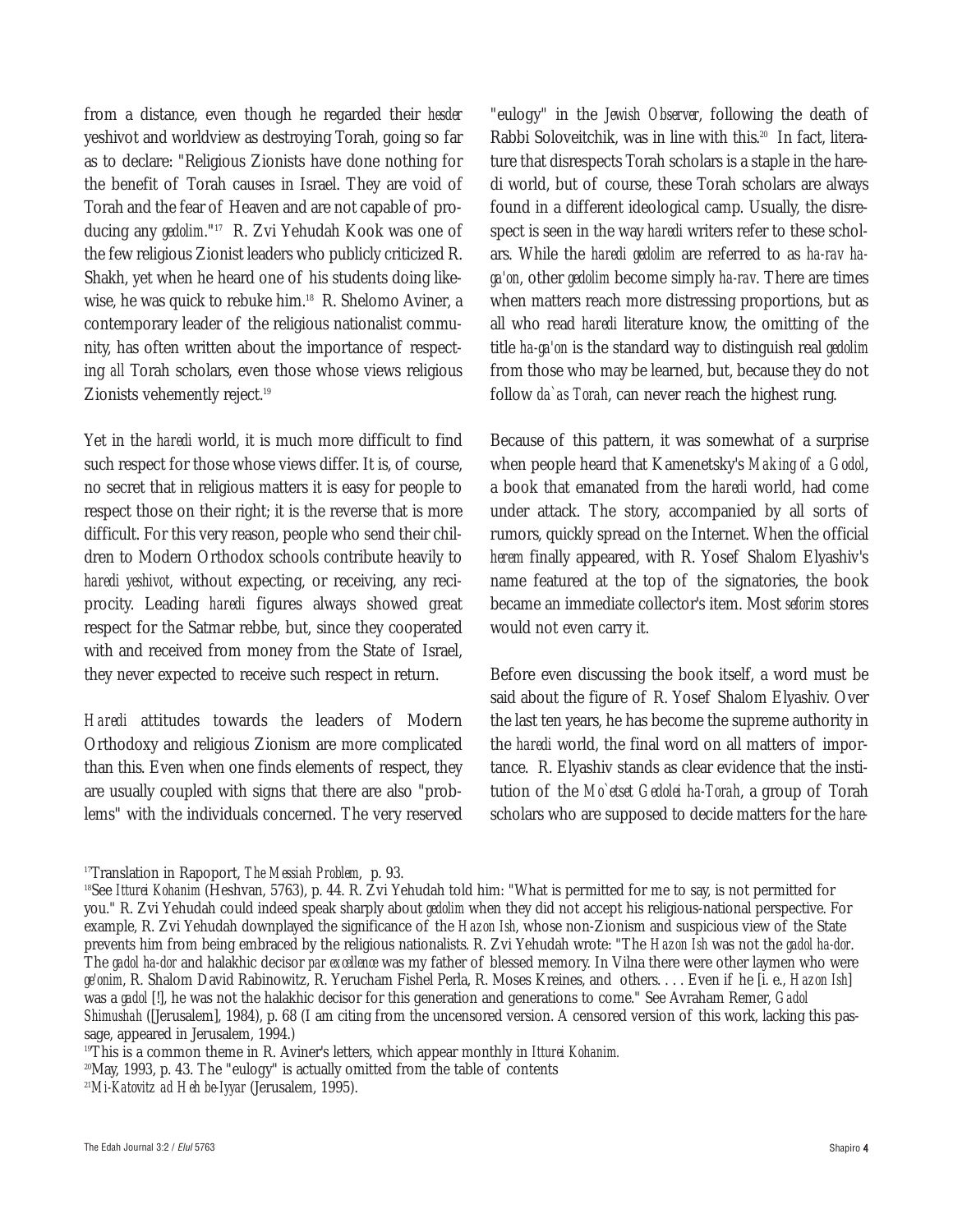from a distance, even though he regarded their *hesder* yeshivot and worldview as destroying Torah, going so far as to declare: "Religious Zionists have done nothing for the benefit of Torah causes in Israel. They are void of Torah and the fear of Heaven and are not capable of producing any *gedolim*."17 R. Zvi Yehudah Kook was one of the few religious Zionist leaders who publicly criticized R. Shakh, yet when he heard one of his students doing likewise, he was quick to rebuke him.18 R. Shelomo Aviner, a contemporary leader of the religious nationalist community, has often written about the importance of respecting *all* Torah scholars, even those whose views religious Zionists vehemently reject.19

Yet in the *haredi* world, it is much more difficult to find such respect for those whose views differ. It is, of course, no secret that in religious matters it is easy for people to respect those on their right; it is the reverse that is more difficult. For this very reason, people who send their children to Modern Orthodox schools contribute heavily to *haredi yeshivot*, without expecting, or receiving, any reciprocity. Leading *haredi* figures always showed great respect for the Satmar rebbe, but, since they cooperated with and received from money from the State of Israel, they never expected to receive such respect in return.

*Haredi* attitudes towards the leaders of Modern Orthodoxy and religious Zionism are more complicated than this. Even when one finds elements of respect, they are usually coupled with signs that there are also "problems" with the individuals concerned. The very reserved

"eulogy" in the *Jewish Observer*, following the death of Rabbi Soloveitchik, was in line with this.<sup>20</sup> In fact, literature that disrespects Torah scholars is a staple in the haredi world, but of course, these Torah scholars are always found in a different ideological camp. Usually, the disrespect is seen in the way *haredi* writers refer to these scholars. While the *haredi gedolim* are referred to as *ha-rav haga'on*, other *gedolim* become simply *ha-rav*. There are times when matters reach more distressing proportions, but as all who read *haredi* literature know, the omitting of the title *ha-ga'on* is the standard way to distinguish real *gedolim* from those who may be learned, but, because they do not follow *da`as Torah*, can never reach the highest rung.

Because of this pattern, it was somewhat of a surprise when people heard that Kamenetsky's *Making of a Godol*, a book that emanated from the *haredi* world, had come under attack. The story, accompanied by all sorts of rumors, quickly spread on the Internet. When the official *herem* finally appeared, with R. Yosef Shalom Elyashiv's name featured at the top of the signatories, the book became an immediate collector's item. Most *seforim* stores would not even carry it.

Before even discussing the book itself, a word must be said about the figure of R. Yosef Shalom Elyashiv. Over the last ten years, he has become the supreme authority in the *haredi* world, the final word on all matters of importance. R. Elyashiv stands as clear evidence that the institution of the *Mo`etset Gedolei ha-Torah*, a group of Torah scholars who are supposed to decide matters for the *hare-*

<sup>17</sup>Translation in Rapoport, *The Messiah Problem*, p. 93.

<sup>&</sup>lt;sup>18</sup>See *Itturei Kohanim* (Heshvan, 5763), p. 44. R. Zvi Yehudah told him: "What is permitted for me to say, is not permitted for you." R. Zvi Yehudah could indeed speak sharply about *gedolim* when they did not accept his religious-national perspective. For example, R. Zvi Yehudah downplayed the significance of the *Hazon Ish*, whose non-Zionism and suspicious view of the State prevents him from being embraced by the religious nationalists. R. Zvi Yehudah wrote: "The *Hazon Ish* was not the *gadol ha-dor*. The *gadol ha-dor* and halakhic decisor *par excellence* was my father of blessed memory. In Vilna there were other laymen who were *ge'onim*, R. Shalom David Rabinowitz, R. Yerucham Fishel Perla, R. Moses Kreines, and others. . . . Even if he [i. e., *Hazon Ish*] was a *gadol* [!], he was not the halakhic decisor for this generation and generations to come." See Avraham Remer, *Gadol Shimushah* ([Jerusalem], 1984), p. 68 (I am citing from the uncensored version. A censored version of this work, lacking this passage, appeared in Jerusalem, 1994.)

<sup>19</sup>This is a common theme in R. Aviner's letters, which appear monthly in *Itturei Kohanim.*

<sup>20</sup>May, 1993, p. 43. The "eulogy" is actually omitted from the table of contents

<sup>21</sup>*Mi-Katovitz ad Heh be-Iyyar* (Jerusalem, 1995).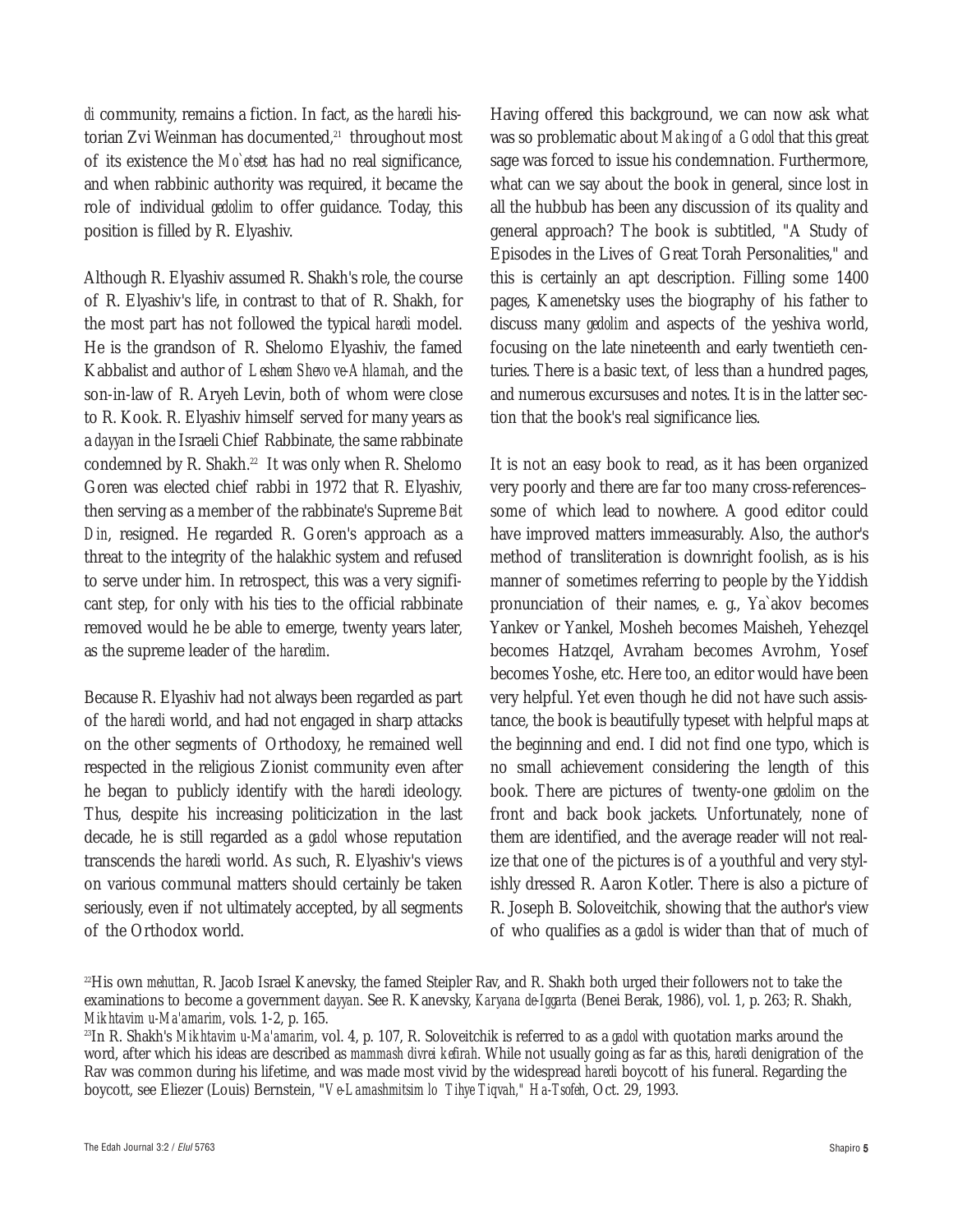*di* community, remains a fiction. In fact, as the *haredi* historian Zvi Weinman has documented,<sup>21</sup> throughout most of its existence the *Mo`etset* has had no real significance, and when rabbinic authority was required, it became the role of individual *gedolim* to offer guidance. Today, this position is filled by R. Elyashiv.

Although R. Elyashiv assumed R. Shakh's role, the course of R. Elyashiv's life, in contrast to that of R. Shakh, for the most part has not followed the typical *haredi* model. He is the grandson of R. Shelomo Elyashiv, the famed Kabbalist and author of *Leshem Shevo ve-Ahlamah*, and the son-in-law of R. Aryeh Levin, both of whom were close to R. Kook. R. Elyashiv himself served for many years as a *dayyan* in the Israeli Chief Rabbinate, the same rabbinate condemned by R. Shakh.<sup>22</sup> It was only when R. Shelomo Goren was elected chief rabbi in 1972 that R. Elyashiv, then serving as a member of the rabbinate's Supreme *Beit Din*, resigned. He regarded R. Goren's approach as a threat to the integrity of the halakhic system and refused to serve under him. In retrospect, this was a very significant step, for only with his ties to the official rabbinate removed would he be able to emerge, twenty years later, as the supreme leader of the *haredim*.

Because R. Elyashiv had not always been regarded as part of the *haredi* world, and had not engaged in sharp attacks on the other segments of Orthodoxy, he remained well respected in the religious Zionist community even after he began to publicly identify with the *haredi* ideology. Thus, despite his increasing politicization in the last decade, he is still regarded as a *gadol* whose reputation transcends the *haredi* world. As such, R. Elyashiv's views on various communal matters should certainly be taken seriously, even if not ultimately accepted, by all segments of the Orthodox world.

Having offered this background, we can now ask what was so problematic about *Making of a Godol* that this great sage was forced to issue his condemnation. Furthermore, what can we say about the book in general, since lost in all the hubbub has been any discussion of its quality and general approach? The book is subtitled, "A Study of Episodes in the Lives of Great Torah Personalities," and this is certainly an apt description. Filling some 1400 pages, Kamenetsky uses the biography of his father to discuss many *gedolim* and aspects of the yeshiva world, focusing on the late nineteenth and early twentieth centuries. There is a basic text, of less than a hundred pages, and numerous excursuses and notes. It is in the latter section that the book's real significance lies.

It is not an easy book to read, as it has been organized very poorly and there are far too many cross-references– some of which lead to nowhere. A good editor could have improved matters immeasurably. Also, the author's method of transliteration is downright foolish, as is his manner of sometimes referring to people by the Yiddish pronunciation of their names, e. g., Ya`akov becomes Yankev or Yankel, Mosheh becomes Maisheh, Yehezqel becomes Hatzqel, Avraham becomes Avrohm, Yosef becomes Yoshe, etc. Here too, an editor would have been very helpful. Yet even though he did not have such assistance, the book is beautifully typeset with helpful maps at the beginning and end. I did not find one typo, which is no small achievement considering the length of this book. There are pictures of twenty-one *gedolim* on the front and back book jackets. Unfortunately, none of them are identified, and the average reader will not realize that one of the pictures is of a youthful and very stylishly dressed R. Aaron Kotler. There is also a picture of R. Joseph B. Soloveitchik, showing that the author's view of who qualifies as a *gadol* is wider than that of much of

<sup>22</sup>His own *mehuttan*, R. Jacob Israel Kanevsky, the famed Steipler Rav, and R. Shakh both urged their followers not to take the examinations to become a government *dayyan*. See R. Kanevsky, *Karyana de-Iggarta* (Benei Berak, 1986), vol. 1, p. 263; R. Shakh, *Mikhtavim u-Ma'amarim*, vols. 1-2, p. 165.

<sup>23</sup>In R. Shakh's *Mikhtavim u-Ma'amarim*, vol. 4, p. 107, R. Soloveitchik is referred to as a *gadol* with quotation marks around the word, after which his ideas are described as *mammash divrei kefirah*. While not usually going as far as this, *haredi* denigration of the Rav was common during his lifetime, and was made most vivid by the widespread *haredi* boycott of his funeral. Regarding the boycott, see Eliezer (Louis) Bernstein, "*Ve-Lamashmitsim lo Tihye Tiqvah," Ha-Tsofeh*, Oct. 29, 1993.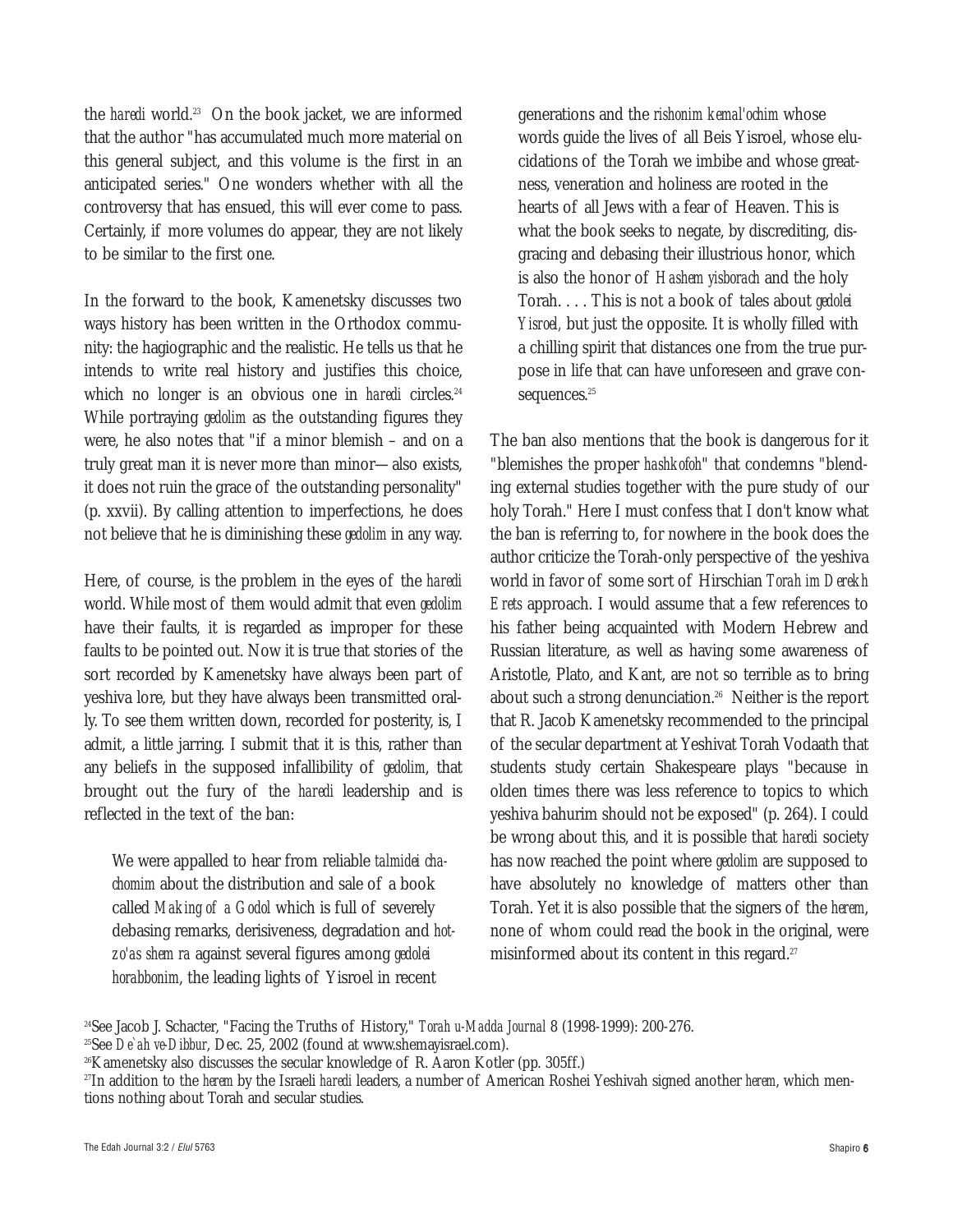the *haredi* world.23 On the book jacket, we are informed that the author "has accumulated much more material on this general subject, and this volume is the first in an anticipated series." One wonders whether with all the controversy that has ensued, this will ever come to pass. Certainly, if more volumes do appear, they are not likely to be similar to the first one.

In the forward to the book, Kamenetsky discusses two ways history has been written in the Orthodox community: the hagiographic and the realistic. He tells us that he intends to write real history and justifies this choice, which no longer is an obvious one in *haredi* circles.<sup>24</sup> While portraying *gedolim* as the outstanding figures they were, he also notes that "if a minor blemish – and on a truly great man it is never more than minor—also exists, it does not ruin the grace of the outstanding personality" (p. xxvii). By calling attention to imperfections, he does not believe that he is diminishing these *gedolim* in any way.

Here, of course, is the problem in the eyes of the *haredi* world. While most of them would admit that even *gedolim* have their faults, it is regarded as improper for these faults to be pointed out. Now it is true that stories of the sort recorded by Kamenetsky have always been part of yeshiva lore, but they have always been transmitted orally. To see them written down, recorded for posterity, is, I admit, a little jarring. I submit that it is this, rather than any beliefs in the supposed infallibility of *gedolim*, that brought out the fury of the *haredi* leadership and is reflected in the text of the ban:

We were appalled to hear from reliable *talmidei chachomim* about the distribution and sale of a book called *Making of a Godol* which is full of severely debasing remarks, derisiveness, degradation and *hotzo'as shem ra* against several figures among *gedolei horabbonim*, the leading lights of Yisroel in recent

generations and the *rishonim kemal'ochim* whose words guide the lives of all Beis Yisroel, whose elucidations of the Torah we imbibe and whose greatness, veneration and holiness are rooted in the hearts of all Jews with a fear of Heaven. This is what the book seeks to negate, by discrediting, disgracing and debasing their illustrious honor, which is also the honor of *Hashem yisborach* and the holy Torah....This is not a book of tales about *gedolei Yisroel,* but just the opposite. It is wholly filled with a chilling spirit that distances one from the true purpose in life that can have unforeseen and grave consequences.<sup>25</sup>

The ban also mentions that the book is dangerous for it "blemishes the proper *hashkofoh*" that condemns "blending external studies together with the pure study of our holy Torah." Here I must confess that I don't know what the ban is referring to, for nowhere in the book does the author criticize the Torah-only perspective of the yeshiva world in favor of some sort of Hirschian *Torah im Derekh Erets* approach. I would assume that a few references to his father being acquainted with Modern Hebrew and Russian literature, as well as having some awareness of Aristotle, Plato, and Kant, are not so terrible as to bring about such a strong denunciation.26 Neither is the report that R. Jacob Kamenetsky recommended to the principal of the secular department at Yeshivat Torah Vodaath that students study certain Shakespeare plays "because in olden times there was less reference to topics to which yeshiva bahurim should not be exposed" (p. 264). I could be wrong about this, and it is possible that *haredi* society has now reached the point where *gedolim* are supposed to have absolutely no knowledge of matters other than Torah. Yet it is also possible that the signers of the *herem*, none of whom could read the book in the original, were misinformed about its content in this regard.<sup>27</sup>

<sup>24</sup>See Jacob J. Schacter, "Facing the Truths of History," *Torah u-Madda Journal* 8 (1998-1999): 200-276.

<sup>25</sup>See *De`ah ve-Dibbur*, Dec. 25, 2002 (found at www.shemayisrael.com).

<sup>26</sup>Kamenetsky also discusses the secular knowledge of R. Aaron Kotler (pp. 305ff.)

<sup>27</sup>In addition to the *herem* by the Israeli *haredi* leaders, a number of American Roshei Yeshivah signed another *herem*, which mentions nothing about Torah and secular studies.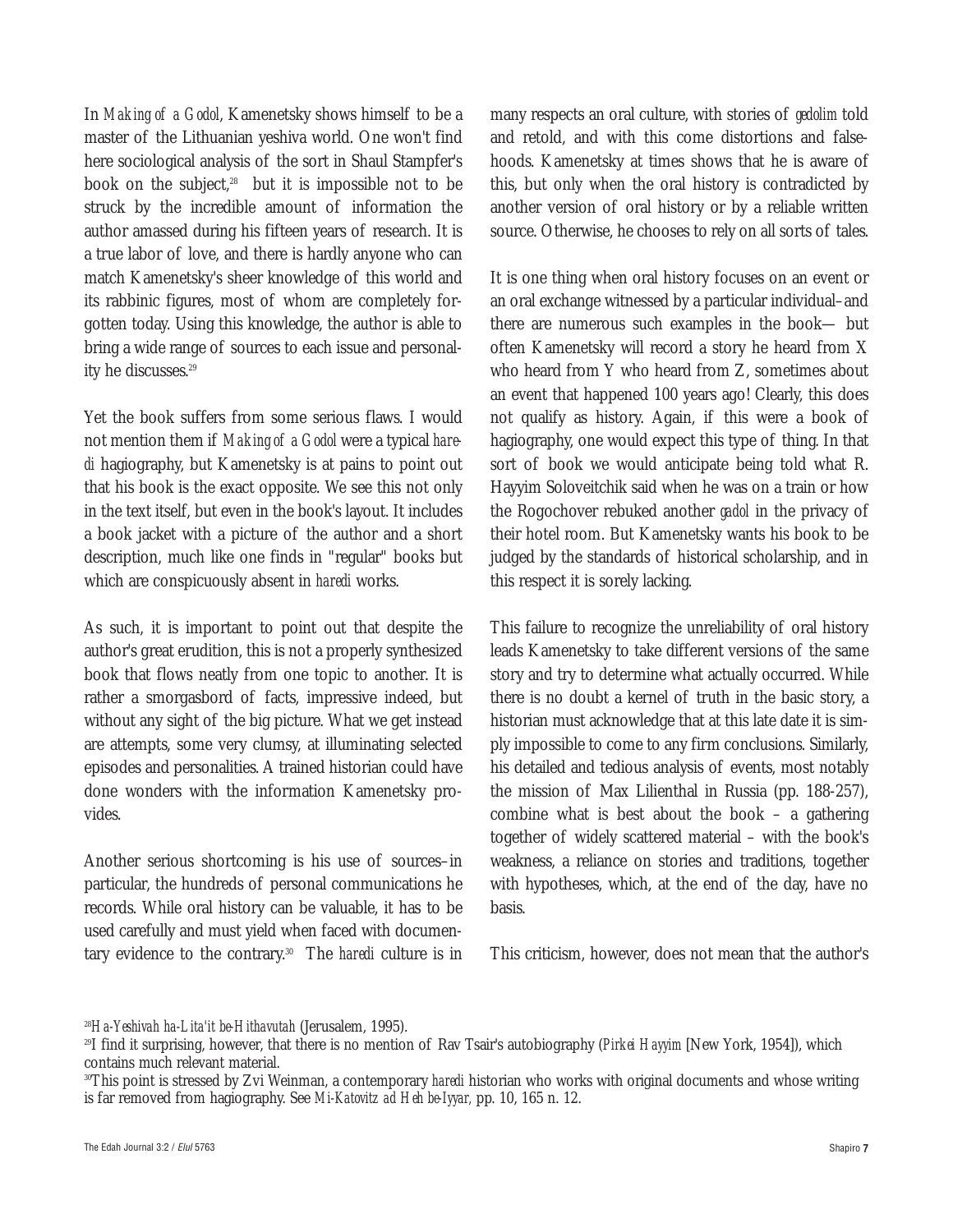In *Making of a Godol*, Kamenetsky shows himself to be a master of the Lithuanian yeshiva world. One won't find here sociological analysis of the sort in Shaul Stampfer's book on the subject, $28$  but it is impossible not to be struck by the incredible amount of information the author amassed during his fifteen years of research. It is a true labor of love, and there is hardly anyone who can match Kamenetsky's sheer knowledge of this world and its rabbinic figures, most of whom are completely forgotten today. Using this knowledge, the author is able to bring a wide range of sources to each issue and personality he discusses.<sup>29</sup>

Yet the book suffers from some serious flaws. I would not mention them if *Making of a Godol* were a typical *haredi* hagiography, but Kamenetsky is at pains to point out that his book is the exact opposite. We see this not only in the text itself, but even in the book's layout. It includes a book jacket with a picture of the author and a short description, much like one finds in "regular" books but which are conspicuously absent in *haredi* works.

As such, it is important to point out that despite the author's great erudition, this is not a properly synthesized book that flows neatly from one topic to another. It is rather a smorgasbord of facts, impressive indeed, but without any sight of the big picture. What we get instead are attempts, some very clumsy, at illuminating selected episodes and personalities. A trained historian could have done wonders with the information Kamenetsky provides.

Another serious shortcoming is his use of sources–in particular, the hundreds of personal communications he records. While oral history can be valuable, it has to be used carefully and must yield when faced with documentary evidence to the contrary.30 The *haredi* culture is in many respects an oral culture, with stories of *gedolim* told and retold, and with this come distortions and falsehoods. Kamenetsky at times shows that he is aware of this, but only when the oral history is contradicted by another version of oral history or by a reliable written source. Otherwise, he chooses to rely on all sorts of tales.

It is one thing when oral history focuses on an event or an oral exchange witnessed by a particular individual–and there are numerous such examples in the book— but often Kamenetsky will record a story he heard from X who heard from Y who heard from Z, sometimes about an event that happened 100 years ago! Clearly, this does not qualify as history. Again, if this were a book of hagiography, one would expect this type of thing. In that sort of book we would anticipate being told what R. Hayyim Soloveitchik said when he was on a train or how the Rogochover rebuked another *gadol* in the privacy of their hotel room. But Kamenetsky wants his book to be judged by the standards of historical scholarship, and in this respect it is sorely lacking.

This failure to recognize the unreliability of oral history leads Kamenetsky to take different versions of the same story and try to determine what actually occurred. While there is no doubt a kernel of truth in the basic story, a historian must acknowledge that at this late date it is simply impossible to come to any firm conclusions. Similarly, his detailed and tedious analysis of events, most notably the mission of Max Lilienthal in Russia (pp. 188-257), combine what is best about the book – a gathering together of widely scattered material – with the book's weakness, a reliance on stories and traditions, together with hypotheses, which, at the end of the day, have no basis.

This criticism, however, does not mean that the author's

<sup>28</sup>*Ha-Yeshivah ha-Lita'it be-Hithavutah* (Jerusalem, 1995).

<sup>29</sup>I find it surprising, however, that there is no mention of Rav Tsair's autobiography (*Pirkei Hayyim* [New York, 1954]), which contains much relevant material.

<sup>&</sup>lt;sup>30</sup>This point is stressed by Zvi Weinman, a contemporary *haredi* historian who works with original documents and whose writing is far removed from hagiography. See *Mi-Katovitz ad Heh be-Iyyar,* pp. 10, 165 n. 12.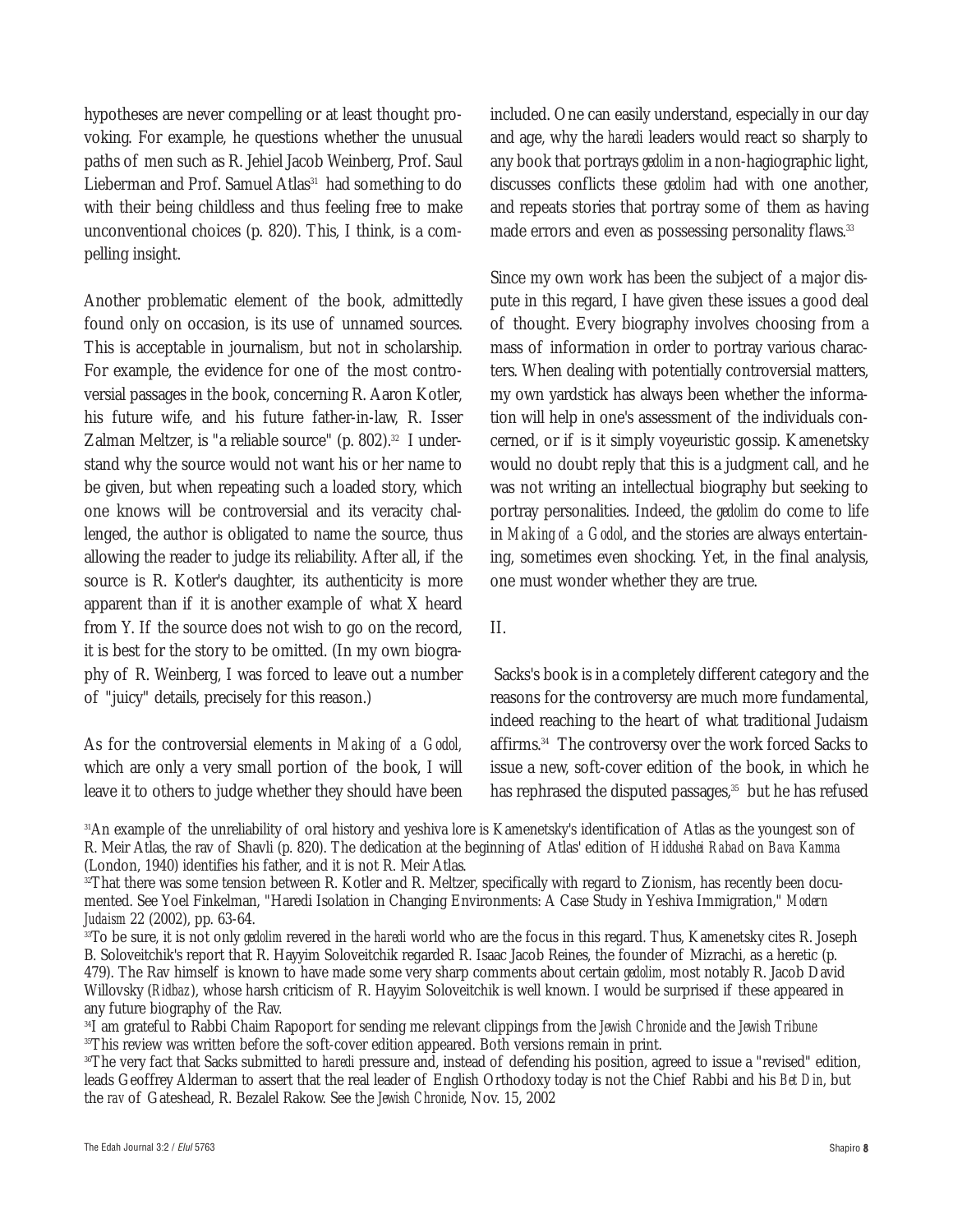hypotheses are never compelling or at least thought provoking. For example, he questions whether the unusual paths of men such as R. Jehiel Jacob Weinberg, Prof. Saul Lieberman and Prof. Samuel Atlas<sup>31</sup> had something to do with their being childless and thus feeling free to make unconventional choices (p. 820). This, I think, is a compelling insight.

Another problematic element of the book, admittedly found only on occasion, is its use of unnamed sources. This is acceptable in journalism, but not in scholarship. For example, the evidence for one of the most controversial passages in the book, concerning R. Aaron Kotler, his future wife, and his future father-in-law, R. Isser Zalman Meltzer, is "a reliable source" (p. 802).<sup>32</sup> I understand why the source would not want his or her name to be given, but when repeating such a loaded story, which one knows will be controversial and its veracity challenged, the author is obligated to name the source, thus allowing the reader to judge its reliability. After all, if the source is R. Kotler's daughter, its authenticity is more apparent than if it is another example of what X heard from Y. If the source does not wish to go on the record, it is best for the story to be omitted. (In my own biography of R. Weinberg, I was forced to leave out a number of "juicy" details, precisely for this reason.)

As for the controversial elements in *Making of a Godol,* which are only a very small portion of the book, I will leave it to others to judge whether they should have been included. One can easily understand, especially in our day and age, why the *haredi* leaders would react so sharply to any book that portrays *gedolim* in a non-hagiographic light, discusses conflicts these *gedolim* had with one another, and repeats stories that portray some of them as having made errors and even as possessing personality flaws.<sup>33</sup>

Since my own work has been the subject of a major dispute in this regard, I have given these issues a good deal of thought. Every biography involves choosing from a mass of information in order to portray various characters. When dealing with potentially controversial matters, my own yardstick has always been whether the information will help in one's assessment of the individuals concerned, or if is it simply voyeuristic gossip. Kamenetsky would no doubt reply that this is a judgment call, and he was not writing an intellectual biography but seeking to portray personalities. Indeed, the *gedolim* do come to life in *Making of a Godol*, and the stories are always entertaining, sometimes even shocking. Yet, in the final analysis, one must wonder whether they are true.

#### II.

Sacks's book is in a completely different category and the reasons for the controversy are much more fundamental, indeed reaching to the heart of what traditional Judaism affirms.<sup>34</sup> The controversy over the work forced Sacks to issue a new, soft-cover edition of the book, in which he has rephrased the disputed passages, $35$  but he has refused

<sup>31</sup>An example of the unreliability of oral history and yeshiva lore is Kamenetsky's identification of Atlas as the youngest son of R. Meir Atlas, the rav of Shavli (p. 820). The dedication at the beginning of Atlas' edition of *Hiddushei Rabad* on *Bava Kamma* (London, 1940) identifies his father, and it is not R. Meir Atlas.

<sup>32</sup>That there was some tension between R. Kotler and R. Meltzer, specifically with regard to Zionism, has recently been documented. See Yoel Finkelman, "Haredi Isolation in Changing Environments: A Case Study in Yeshiva Immigration," *Modern Judaism* 22 (2002), pp. 63-64.

<sup>33</sup>To be sure, it is not only *gedolim* revered in the *haredi* world who are the focus in this regard. Thus, Kamenetsky cites R. Joseph B. Soloveitchik's report that R. Hayyim Soloveitchik regarded R. Isaac Jacob Reines, the founder of Mizrachi, as a heretic (p. 479). The Rav himself is known to have made some very sharp comments about certain *gedolim*, most notably R. Jacob David Willovsky (*Ridbaz*), whose harsh criticism of R. Hayyim Soloveitchik is well known. I would be surprised if these appeared in any future biography of the Rav.

<sup>34</sup>I am grateful to Rabbi Chaim Rapoport for sending me relevant clippings from the *Jewish Chronicle* and the *Jewish Tribune* <sup>35</sup>This review was written before the soft-cover edition appeared. Both versions remain in print.

<sup>&</sup>lt;sup>36</sup>The very fact that Sacks submitted to *haredi* pressure and, instead of defending his position, agreed to issue a "revised" edition, leads Geoffrey Alderman to assert that the real leader of English Orthodoxy today is not the Chief Rabbi and his *Bet Din*, but the *rav* of Gateshead, R. Bezalel Rakow. See the *Jewish Chronicle*, Nov. 15, 2002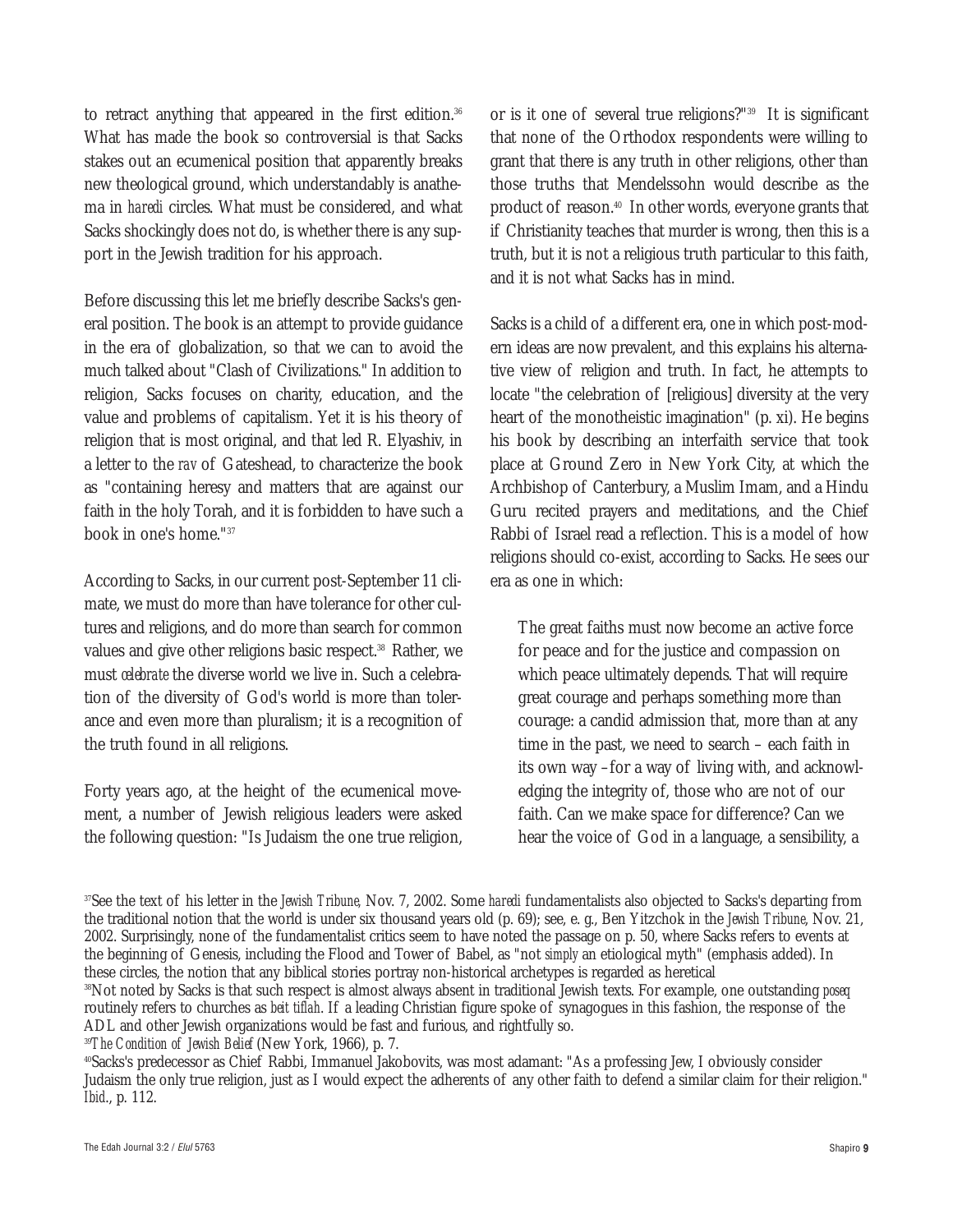to retract anything that appeared in the first edition.<sup>36</sup> What has made the book so controversial is that Sacks stakes out an ecumenical position that apparently breaks new theological ground, which understandably is anathema in *haredi* circles. What must be considered, and what Sacks shockingly does not do, is whether there is any support in the Jewish tradition for his approach.

Before discussing this let me briefly describe Sacks's general position. The book is an attempt to provide guidance in the era of globalization, so that we can to avoid the much talked about "Clash of Civilizations." In addition to religion, Sacks focuses on charity, education, and the value and problems of capitalism. Yet it is his theory of religion that is most original, and that led R. Elyashiv, in a letter to the *rav* of Gateshead, to characterize the book as "containing heresy and matters that are against our faith in the holy Torah, and it is forbidden to have such a book in one's home."37

According to Sacks, in our current post-September 11 climate, we must do more than have tolerance for other cultures and religions, and do more than search for common values and give other religions basic respect.<sup>38</sup> Rather, we must *celebrate* the diverse world we live in. Such a celebration of the diversity of God's world is more than tolerance and even more than pluralism; it is a recognition of the truth found in all religions.

Forty years ago, at the height of the ecumenical movement, a number of Jewish religious leaders were asked the following question: "Is Judaism the one true religion,

or is it one of several true religions?"39 It is significant that none of the Orthodox respondents were willing to grant that there is any truth in other religions, other than those truths that Mendelssohn would describe as the product of reason.40 In other words, everyone grants that if Christianity teaches that murder is wrong, then this is a truth, but it is not a religious truth particular to this faith, and it is not what Sacks has in mind.

Sacks is a child of a different era, one in which post-modern ideas are now prevalent, and this explains his alternative view of religion and truth. In fact, he attempts to locate "the celebration of [religious] diversity at the very heart of the monotheistic imagination" (p. xi). He begins his book by describing an interfaith service that took place at Ground Zero in New York City, at which the Archbishop of Canterbury, a Muslim Imam, and a Hindu Guru recited prayers and meditations, and the Chief Rabbi of Israel read a reflection. This is a model of how religions should co-exist, according to Sacks. He sees our era as one in which:

The great faiths must now become an active force for peace and for the justice and compassion on which peace ultimately depends. That will require great courage and perhaps something more than courage: a candid admission that, more than at any time in the past, we need to search – each faith in its own way –for a way of living with, and acknowledging the integrity of, those who are not of our faith. Can we make space for difference? Can we hear the voice of God in a language, a sensibility, a

<sup>37</sup>See the text of his letter in the *Jewish Tribune,* Nov. 7, 2002. Some *haredi* fundamentalists also objected to Sacks's departing from the traditional notion that the world is under six thousand years old (p. 69); see, e. g., Ben Yitzchok in the *Jewish Tribune*, Nov. 21, 2002. Surprisingly, none of the fundamentalist critics seem to have noted the passage on p. 50, where Sacks refers to events at the beginning of Genesis, including the Flood and Tower of Babel, as "not *simply* an etiological myth" (emphasis added). In these circles, the notion that any biblical stories portray non-historical archetypes is regarded as heretical

<sup>38</sup>Not noted by Sacks is that such respect is almost always absent in traditional Jewish texts. For example, one outstanding *poseq* routinely refers to churches as *beit tiflah*. If a leading Christian figure spoke of synagogues in this fashion, the response of the ADL and other Jewish organizations would be fast and furious, and rightfully so.

<sup>39</sup>*The Condition of Jewish Belief* (New York, 1966), p. 7.

<sup>40</sup>Sacks's predecessor as Chief Rabbi, Immanuel Jakobovits, was most adamant: "As a professing Jew, I obviously consider Judaism the only true religion, just as I would expect the adherents of any other faith to defend a similar claim for their religion." *Ibid*., p. 112.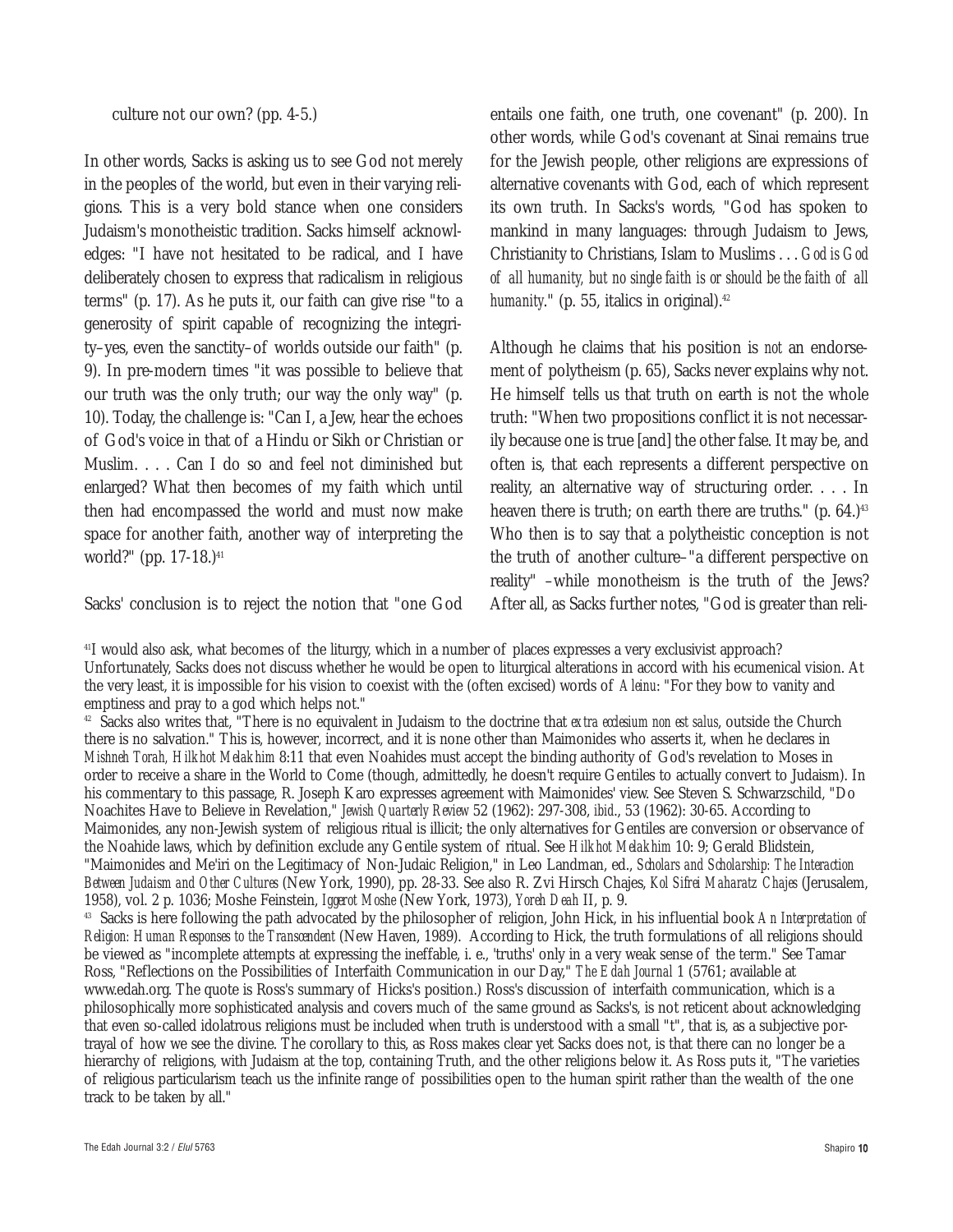culture not our own? (pp. 4-5.)

In other words, Sacks is asking us to see God not merely in the peoples of the world, but even in their varying religions. This is a very bold stance when one considers Judaism's monotheistic tradition. Sacks himself acknowledges: "I have not hesitated to be radical, and I have deliberately chosen to express that radicalism in religious terms" (p. 17). As he puts it, our faith can give rise "to a generosity of spirit capable of recognizing the integrity–yes, even the sanctity–of worlds outside our faith" (p. 9). In pre-modern times "it was possible to believe that our truth was the only truth; our way the only way" (p. 10). Today, the challenge is: "Can I, a Jew, hear the echoes of God's voice in that of a Hindu or Sikh or Christian or Muslim.... Can I do so and feel not diminished but enlarged? What then becomes of my faith which until then had encompassed the world and must now make space for another faith, another way of interpreting the world?" (pp. 17-18.)<sup>41</sup>

Sacks' conclusion is to reject the notion that "one God

entails one faith, one truth, one covenant" (p. 200). In other words, while God's covenant at Sinai remains true for the Jewish people, other religions are expressions of alternative covenants with God, each of which represent its own truth. In Sacks's words, "God has spoken to mankind in many languages: through Judaism to Jews, Christianity to Christians, Islam to Muslims . . . *God is God of all humanity, but no single faith is or should be the faith of all humanity.*" (p. 55, italics in original).<sup>42</sup>

Although he claims that his position is *not* an endorsement of polytheism (p. 65), Sacks never explains why not. He himself tells us that truth on earth is not the whole truth: "When two propositions conflict it is not necessarily because one is true [and] the other false. It may be, and often is, that each represents a different perspective on reality, an alternative way of structuring order. . . . In heaven there is truth; on earth there are truths."  $(p. 64.)^{43}$ Who then is to say that a polytheistic conception is not the truth of another culture–"a different perspective on reality" –while monotheism is the truth of the Jews? After all, as Sacks further notes, "God is greater than reli-

41I would also ask, what becomes of the liturgy, which in a number of places expresses a very exclusivist approach? Unfortunately, Sacks does not discuss whether he would be open to liturgical alterations in accord with his ecumenical vision. At the very least, it is impossible for his vision to coexist with the (often excised) words of *Aleinu*: "For they bow to vanity and emptiness and pray to a god which helps not."

<sup>42</sup> Sacks also writes that, "There is no equivalent in Judaism to the doctrine that *extra ecclesium non est salus*, outside the Church there is no salvation." This is, however, incorrect, and it is none other than Maimonides who asserts it, when he declares in *Mishneh Torah, Hilkhot Melakhim* 8:11 that even Noahides must accept the binding authority of God's revelation to Moses in order to receive a share in the World to Come (though, admittedly, he doesn't require Gentiles to actually convert to Judaism). In his commentary to this passage, R. Joseph Karo expresses agreement with Maimonides' view. See Steven S. Schwarzschild, "Do Noachites Have to Believe in Revelation," *Jewish Quarterly Review* 52 (1962): 297-308, *ibid*., 53 (1962): 30-65. According to Maimonides, any non-Jewish system of religious ritual is illicit; the only alternatives for Gentiles are conversion or observance of the Noahide laws, which by definition exclude any Gentile system of ritual. See *Hilkhot Melakhim* 10: 9; Gerald Blidstein, "Maimonides and Me'iri on the Legitimacy of Non-Judaic Religion," in Leo Landman, ed., *Scholars and Scholarship: The Interaction Between Judaism and Other Cultures* (New York, 1990), pp. 28-33. See also R. Zvi Hirsch Chajes, *Kol Sifrei Maharatz Chajes* (Jerusalem, 1958), vol. 2 p. 1036; Moshe Feinstein, *Iggerot Moshe* (New York, 1973), *Yoreh Deah* II, p. 9.

<sup>43</sup> Sacks is here following the path advocated by the philosopher of religion, John Hick, in his influential book *An Interpretation of Religion: Human Responses to the Transcendent* (New Haven, 1989). According to Hick, the truth formulations of all religions should be viewed as "incomplete attempts at expressing the ineffable, i. e., 'truths' only in a very weak sense of the term." See Tamar Ross, "Reflections on the Possibilities of Interfaith Communication in our Day," *The Edah Journal* 1 (5761; available at www.edah.org. The quote is Ross's summary of Hicks's position.) Ross's discussion of interfaith communication, which is a philosophically more sophisticated analysis and covers much of the same ground as Sacks's, is not reticent about acknowledging that even so-called idolatrous religions must be included when truth is understood with a small "t", that is, as a subjective portrayal of how we see the divine. The corollary to this, as Ross makes clear yet Sacks does not, is that there can no longer be a hierarchy of religions, with Judaism at the top, containing Truth, and the other religions below it. As Ross puts it, "The varieties of religious particularism teach us the infinite range of possibilities open to the human spirit rather than the wealth of the one track to be taken by all."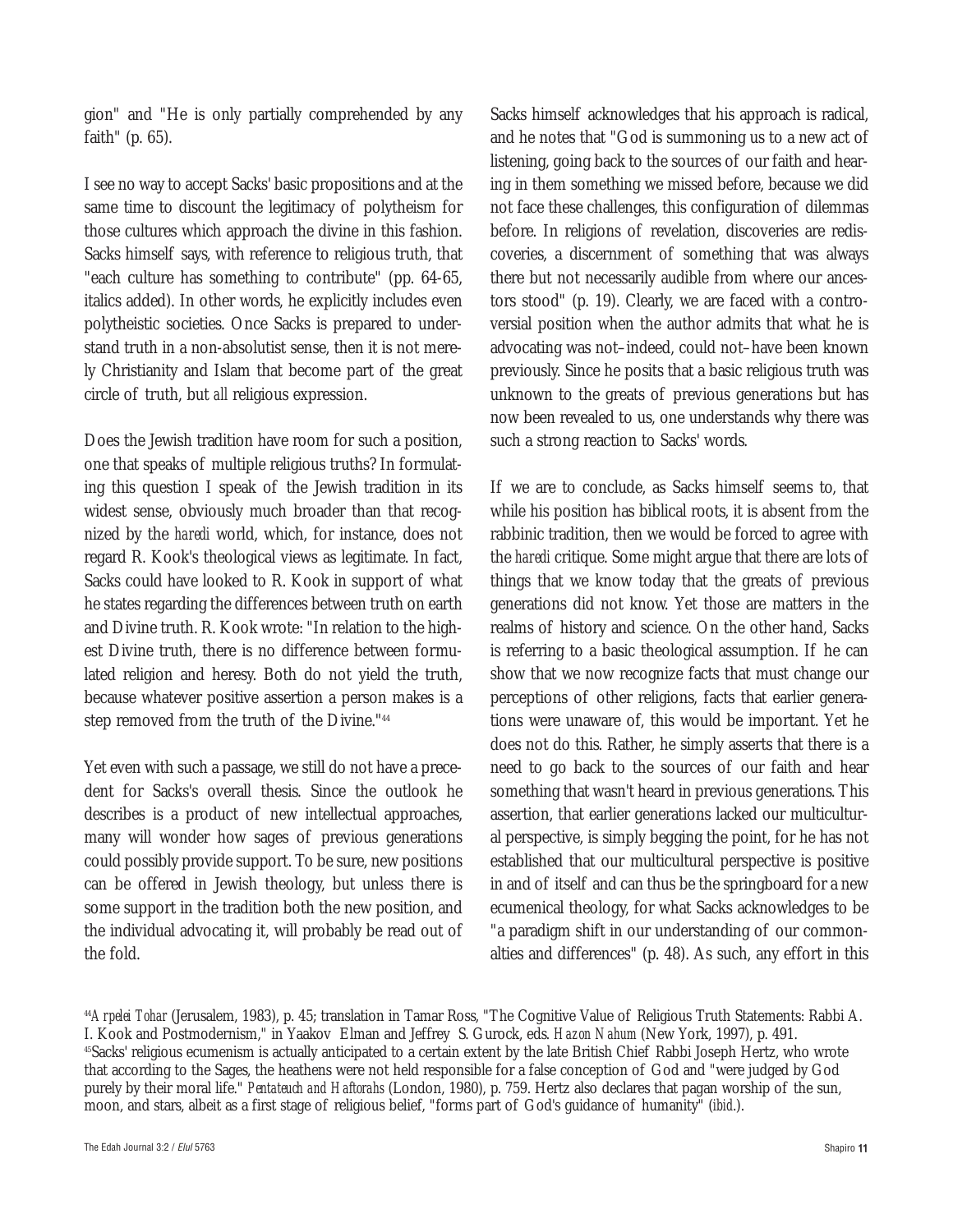gion" and "He is only partially comprehended by any faith" (p. 65).

I see no way to accept Sacks' basic propositions and at the same time to discount the legitimacy of polytheism for those cultures which approach the divine in this fashion. Sacks himself says, with reference to religious truth, that "each culture has something to contribute" (pp. 64-65, italics added). In other words, he explicitly includes even polytheistic societies. Once Sacks is prepared to understand truth in a non-absolutist sense, then it is not merely Christianity and Islam that become part of the great circle of truth, but *all* religious expression.

Does the Jewish tradition have room for such a position, one that speaks of multiple religious truths? In formulating this question I speak of the Jewish tradition in its widest sense, obviously much broader than that recognized by the *haredi* world, which, for instance, does not regard R. Kook's theological views as legitimate. In fact, Sacks could have looked to R. Kook in support of what he states regarding the differences between truth on earth and Divine truth. R. Kook wrote: "In relation to the highest Divine truth, there is no difference between formulated religion and heresy. Both do not yield the truth, because whatever positive assertion a person makes is a step removed from the truth of the Divine."44

Yet even with such a passage, we still do not have a precedent for Sacks's overall thesis. Since the outlook he describes is a product of new intellectual approaches, many will wonder how sages of previous generations could possibly provide support. To be sure, new positions can be offered in Jewish theology, but unless there is some support in the tradition both the new position, and the individual advocating it, will probably be read out of the fold.

Sacks himself acknowledges that his approach is radical, and he notes that "God is summoning us to a new act of listening, going back to the sources of our faith and hearing in them something we missed before, because we did not face these challenges, this configuration of dilemmas before. In religions of revelation, discoveries are rediscoveries, a discernment of something that was always there but not necessarily audible from where our ancestors stood" (p. 19). Clearly, we are faced with a controversial position when the author admits that what he is advocating was not–indeed, could not–have been known previously. Since he posits that a basic religious truth was unknown to the greats of previous generations but has now been revealed to us, one understands why there was such a strong reaction to Sacks' words.

If we are to conclude, as Sacks himself seems to, that while his position has biblical roots, it is absent from the rabbinic tradition, then we would be forced to agree with the *haredi* critique. Some might argue that there are lots of things that we know today that the greats of previous generations did not know. Yet those are matters in the realms of history and science. On the other hand, Sacks is referring to a basic theological assumption. If he can show that we now recognize facts that must change our perceptions of other religions, facts that earlier generations were unaware of, this would be important. Yet he does not do this. Rather, he simply asserts that there is a need to go back to the sources of our faith and hear something that wasn't heard in previous generations. This assertion, that earlier generations lacked our multicultural perspective, is simply begging the point, for he has not established that our multicultural perspective is positive in and of itself and can thus be the springboard for a new ecumenical theology, for what Sacks acknowledges to be "a paradigm shift in our understanding of our commonalties and differences" (p. 48). As such, any effort in this

<sup>44</sup>*Arpelei Tohar* (Jerusalem, 1983), p. 45; translation in Tamar Ross, "The Cognitive Value of Religious Truth Statements: Rabbi A. I. Kook and Postmodernism," in Yaakov Elman and Jeffrey S. Gurock, eds. *Hazon Nahum* (New York, 1997), p. 491. 45Sacks' religious ecumenism is actually anticipated to a certain extent by the late British Chief Rabbi Joseph Hertz, who wrote that according to the Sages, the heathens were not held responsible for a false conception of God and "were judged by God purely by their moral life." *Pentateuch and Haftorahs* (London, 1980), p. 759. Hertz also declares that pagan worship of the sun, moon, and stars, albeit as a first stage of religious belief, "forms part of God's guidance of humanity" (*ibid*.).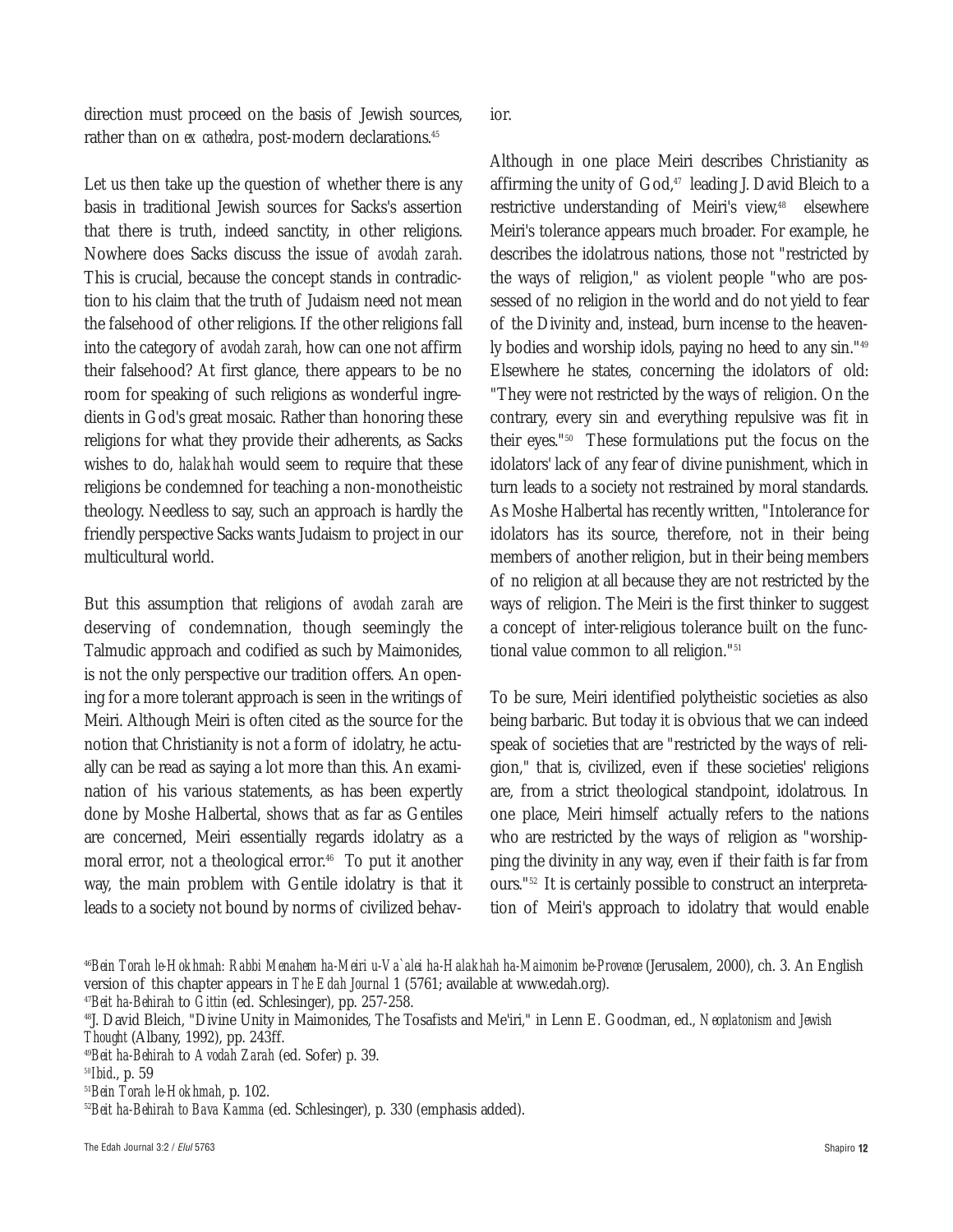direction must proceed on the basis of Jewish sources, rather than on *ex cathedra*, post-modern declarations.<sup>45</sup>

Let us then take up the question of whether there is any basis in traditional Jewish sources for Sacks's assertion that there is truth, indeed sanctity, in other religions. Nowhere does Sacks discuss the issue of *avodah zarah*. This is crucial, because the concept stands in contradiction to his claim that the truth of Judaism need not mean the falsehood of other religions. If the other religions fall into the category of *avodah zarah*, how can one not affirm their falsehood? At first glance, there appears to be no room for speaking of such religions as wonderful ingredients in God's great mosaic. Rather than honoring these religions for what they provide their adherents, as Sacks wishes to do, *halakhah* would seem to require that these religions be condemned for teaching a non-monotheistic theology. Needless to say, such an approach is hardly the friendly perspective Sacks wants Judaism to project in our multicultural world.

But this assumption that religions of *avodah zarah* are deserving of condemnation, though seemingly the Talmudic approach and codified as such by Maimonides, is not the only perspective our tradition offers. An opening for a more tolerant approach is seen in the writings of Meiri. Although Meiri is often cited as the source for the notion that Christianity is not a form of idolatry, he actually can be read as saying a lot more than this. An examination of his various statements, as has been expertly done by Moshe Halbertal, shows that as far as Gentiles are concerned, Meiri essentially regards idolatry as a moral error, not a theological error.<sup>46</sup> To put it another way, the main problem with Gentile idolatry is that it leads to a society not bound by norms of civilized behavior.

Although in one place Meiri describes Christianity as affirming the unity of  $God$ ,<sup>47</sup> leading J. David Bleich to a restrictive understanding of Meiri's view,<sup>48</sup> elsewhere Meiri's tolerance appears much broader. For example, he describes the idolatrous nations, those not "restricted by the ways of religion," as violent people "who are possessed of no religion in the world and do not yield to fear of the Divinity and, instead, burn incense to the heavenly bodies and worship idols, paying no heed to any sin."49 Elsewhere he states, concerning the idolators of old: "They were not restricted by the ways of religion. On the contrary, every sin and everything repulsive was fit in their eyes."50 These formulations put the focus on the idolators' lack of any fear of divine punishment, which in turn leads to a society not restrained by moral standards. As Moshe Halbertal has recently written, "Intolerance for idolators has its source, therefore, not in their being members of another religion, but in their being members of no religion at all because they are not restricted by the ways of religion. The Meiri is the first thinker to suggest a concept of inter-religious tolerance built on the functional value common to all religion."51

To be sure, Meiri identified polytheistic societies as also being barbaric. But today it is obvious that we can indeed speak of societies that are "restricted by the ways of religion," that is, civilized, even if these societies' religions are, from a strict theological standpoint, idolatrous. In one place, Meiri himself actually refers to the nations who are restricted by the ways of religion as "worshipping the divinity in any way, even if their faith is far from ours."52 It is certainly possible to construct an interpretation of Meiri's approach to idolatry that would enable

<sup>46</sup>*Bein Torah le-Hokhmah: Rabbi Menahem ha-Meiri u-Va`alei ha-Halakhah ha-Maimonim be-Provence* (Jerusalem, 2000), ch. 3. An English version of this chapter appears in *The Edah Journal* 1 (5761; available at www.edah.org).

<sup>47</sup>*Beit ha-Behirah* to *Gittin* (ed. Schlesinger), pp. 257-258.

<sup>48</sup>J. David Bleich, "Divine Unity in Maimonides, The Tosafists and Me'iri," in Lenn E. Goodman, ed., *Neoplatonism and Jewish Thought* (Albany, 1992), pp. 243ff.

<sup>49</sup>*Beit ha-Behirah* to *Avodah Zarah* (ed. Sofer) p. 39.

*<sup>50</sup>Ibid*., p. 59

<sup>51</sup>*Bein Torah le-Hokhmah*, p. 102.

<sup>52</sup>*Beit ha-Behirah to Bava Kamma* (ed. Schlesinger), p. 330 (emphasis added).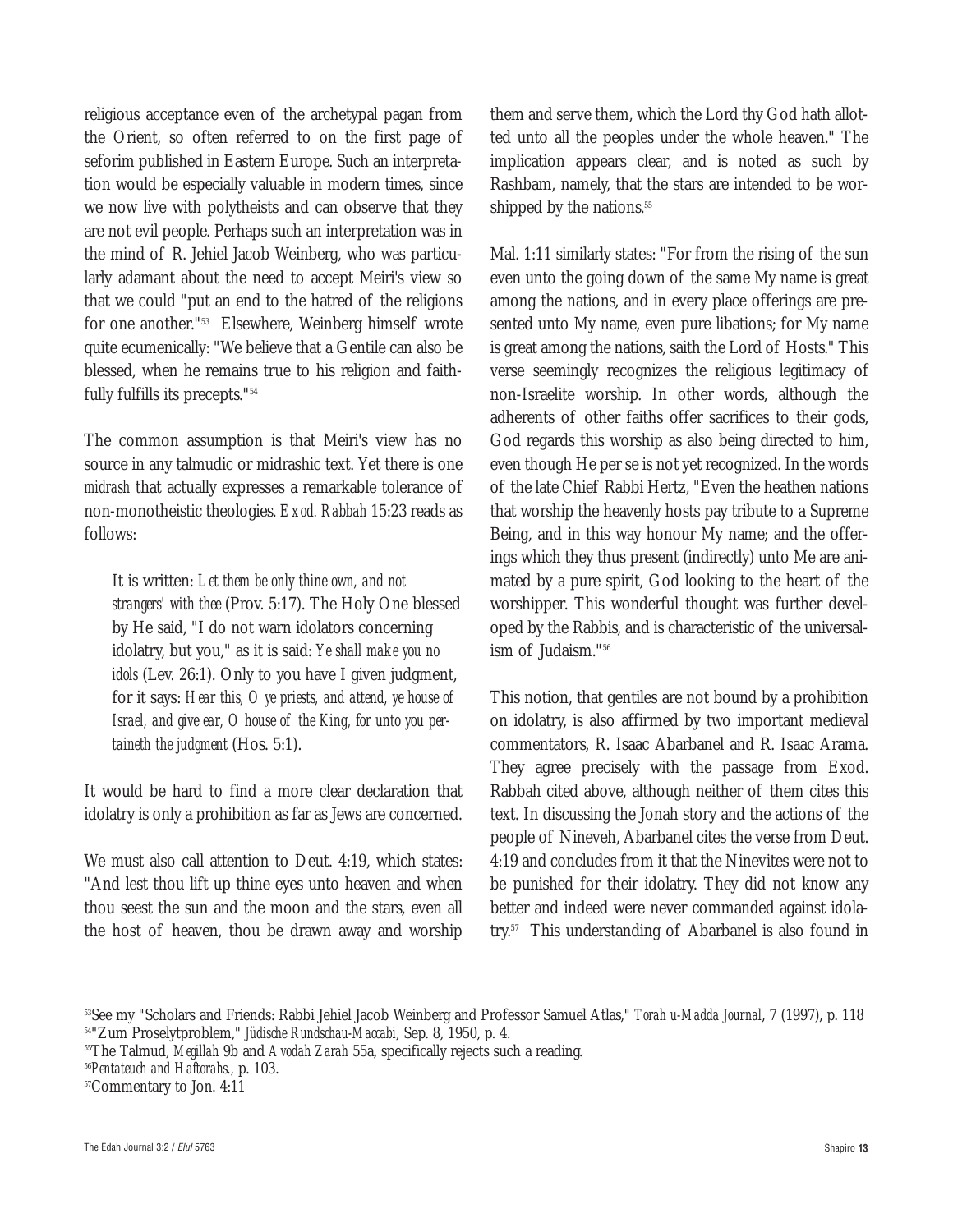religious acceptance even of the archetypal pagan from the Orient, so often referred to on the first page of seforim published in Eastern Europe. Such an interpretation would be especially valuable in modern times, since we now live with polytheists and can observe that they are not evil people. Perhaps such an interpretation was in the mind of R. Jehiel Jacob Weinberg, who was particularly adamant about the need to accept Meiri's view so that we could "put an end to the hatred of the religions for one another."53 Elsewhere, Weinberg himself wrote quite ecumenically: "We believe that a Gentile can also be blessed, when he remains true to his religion and faithfully fulfills its precepts."54

The common assumption is that Meiri's view has no source in any talmudic or midrashic text. Yet there is one *midrash* that actually expresses a remarkable tolerance of non-monotheistic theologies. *Exod. Rabbah* 15:23 reads as follows:

It is written: *Let them be only thine own, and not strangers' with thee* (Prov. 5:17). The Holy One blessed by He said, "I do not warn idolators concerning idolatry, but you," as it is said: *Ye shall make you no idols* (Lev. 26:1). Only to you have I given judgment, for it says: *Hear this, O ye priests, and attend, ye house of Israel, and give ear, O house of the King, for unto you pertaineth the judgment* (Hos. 5:1).

It would be hard to find a more clear declaration that idolatry is only a prohibition as far as Jews are concerned.

We must also call attention to Deut. 4:19, which states: "And lest thou lift up thine eyes unto heaven and when thou seest the sun and the moon and the stars, even all the host of heaven, thou be drawn away and worship them and serve them, which the Lord thy God hath allotted unto all the peoples under the whole heaven." The implication appears clear, and is noted as such by Rashbam, namely, that the stars are intended to be worshipped by the nations.<sup>55</sup>

Mal. 1:11 similarly states: "For from the rising of the sun even unto the going down of the same My name is great among the nations, and in every place offerings are presented unto My name, even pure libations; for My name is great among the nations, saith the Lord of Hosts." This verse seemingly recognizes the religious legitimacy of non-Israelite worship. In other words, although the adherents of other faiths offer sacrifices to their gods, God regards this worship as also being directed to him, even though He per se is not yet recognized. In the words of the late Chief Rabbi Hertz, "Even the heathen nations that worship the heavenly hosts pay tribute to a Supreme Being, and in this way honour My name; and the offerings which they thus present (indirectly) unto Me are animated by a pure spirit, God looking to the heart of the worshipper. This wonderful thought was further developed by the Rabbis, and is characteristic of the universalism of Judaism."56

This notion, that gentiles are not bound by a prohibition on idolatry, is also affirmed by two important medieval commentators, R. Isaac Abarbanel and R. Isaac Arama. They agree precisely with the passage from Exod. Rabbah cited above, although neither of them cites this text. In discussing the Jonah story and the actions of the people of Nineveh, Abarbanel cites the verse from Deut. 4:19 and concludes from it that the Ninevites were not to be punished for their idolatry. They did not know any better and indeed were never commanded against idolatry.57 This understanding of Abarbanel is also found in

<sup>53</sup>See my "Scholars and Friends: Rabbi Jehiel Jacob Weinberg and Professor Samuel Atlas," *Torah u-Madda Journal*, 7 (1997), p. 118 54"Zum Proselytproblem," *Jüdische Rundschau-Maccabi*, Sep. 8, 1950, p. 4.

<sup>55</sup>The Talmud, *Megillah* 9b and *Avodah Zarah* 55a, specifically rejects such a reading.

<sup>56</sup>*Pentateuch and Haftorahs.,* p. 103.

<sup>57</sup>Commentary to Jon. 4:11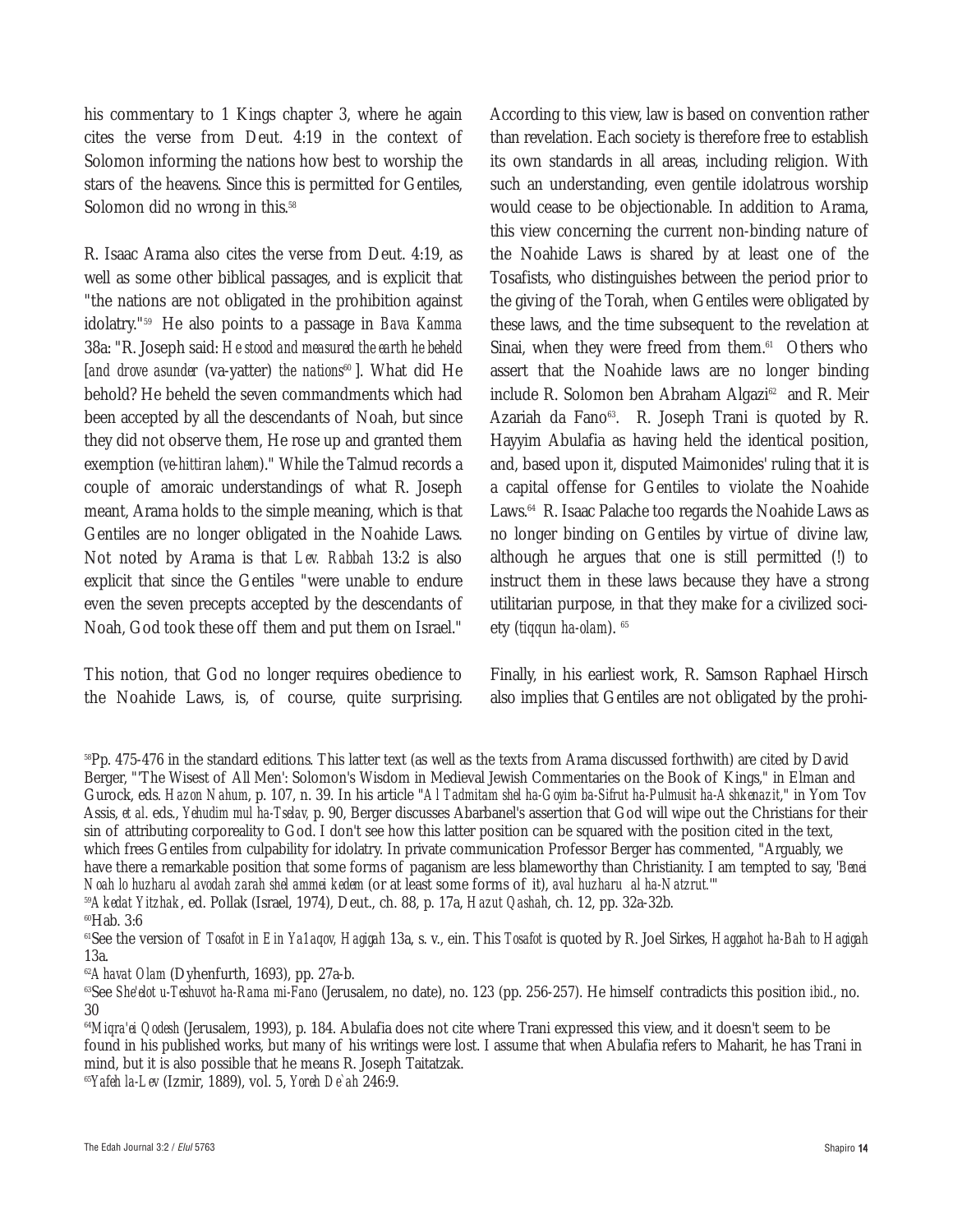his commentary to 1 Kings chapter 3, where he again cites the verse from Deut. 4:19 in the context of Solomon informing the nations how best to worship the stars of the heavens. Since this is permitted for Gentiles, Solomon did no wrong in this.<sup>58</sup>

R. Isaac Arama also cites the verse from Deut. 4:19, as well as some other biblical passages, and is explicit that "the nations are not obligated in the prohibition against idolatry."59 He also points to a passage in *Bava Kamma* 38a: "R. Joseph said: *He stood and measured the earth he beheld* [*and drove asunder* (va-yatter) *the nations*<sup>60</sup>]. What did He behold? He beheld the seven commandments which had been accepted by all the descendants of Noah, but since they did not observe them, He rose up and granted them exemption (*ve-hittiran lahem*)." While the Talmud records a couple of amoraic understandings of what R. Joseph meant, Arama holds to the simple meaning, which is that Gentiles are no longer obligated in the Noahide Laws. Not noted by Arama is that *Lev. Rabbah* 13:2 is also explicit that since the Gentiles "were unable to endure even the seven precepts accepted by the descendants of Noah, God took these off them and put them on Israel."

This notion, that God no longer requires obedience to the Noahide Laws, is, of course, quite surprising. According to this view, law is based on convention rather than revelation. Each society is therefore free to establish its own standards in all areas, including religion. With such an understanding, even gentile idolatrous worship would cease to be objectionable. In addition to Arama, this view concerning the current non-binding nature of the Noahide Laws is shared by at least one of the Tosafists, who distinguishes between the period prior to the giving of the Torah, when Gentiles were obligated by these laws, and the time subsequent to the revelation at Sinai, when they were freed from them.<sup>61</sup> Others who assert that the Noahide laws are no longer binding include R. Solomon ben Abraham Algazi<sup>62</sup> and R. Meir Azariah da Fano<sup>63</sup>. R. Joseph Trani is quoted by R. Hayyim Abulafia as having held the identical position, and, based upon it, disputed Maimonides' ruling that it is a capital offense for Gentiles to violate the Noahide Laws.<sup>64</sup> R. Isaac Palache too regards the Noahide Laws as no longer binding on Gentiles by virtue of divine law, although he argues that one is still permitted (!) to instruct them in these laws because they have a strong utilitarian purpose, in that they make for a civilized society (*tiqqun ha-olam*). <sup>65</sup>

Finally, in his earliest work, R. Samson Raphael Hirsch also implies that Gentiles are not obligated by the prohi-

<sup>59</sup>*Akedat Yitzhak*, ed. Pollak (Israel, 1974), Deut., ch. 88, p. 17a, *Hazut Qashah*, ch. 12, pp. 32a-32b.

61See the version of *Tosafot in Ein Ya1aqov, Hagigah* 13a, s. v., ein. This *Tosafot* is quoted by R. Joel Sirkes, *Haggahot ha-Bah to Hagigah* 13a.

<sup>62</sup> Ahavat Olam (Dyhenfurth, 1693), pp. 27a-b.

<sup>63</sup>See *She'elot u-Teshuvot ha-Rama mi-Fano* (Jerusalem, no date), no. 123 (pp. 256-257). He himself contradicts this position *ibid.*, no. 30

<sup>64</sup>*Miqra'ei Qodesh* (Jerusalem, 1993), p. 184. Abulafia does not cite where Trani expressed this view, and it doesn't seem to be found in his published works, but many of his writings were lost. I assume that when Abulafia refers to Maharit, he has Trani in mind, but it is also possible that he means R. Joseph Taitatzak.

<sup>65</sup>*Yafeh la-Lev* (Izmir, 1889), vol. 5, *Yoreh De`ah* 246:9.

<sup>58</sup>Pp. 475-476 in the standard editions. This latter text (as well as the texts from Arama discussed forthwith) are cited by David Berger, "'The Wisest of All Men': Solomon's Wisdom in Medieval Jewish Commentaries on the Book of Kings," in Elman and Gurock, eds. *Hazon Nahum*, p. 107, n. 39. In his article "*Al Tadmitam shel ha-Goyim ba-Sifrut ha-Pulmusit ha-Ashkenazit*," in Yom Tov Assis, *et al*. eds., *Yehudim mul ha-Tselav,* p. 90, Berger discusses Abarbanel's assertion that God will wipe out the Christians for their sin of attributing corporeality to God. I don't see how this latter position can be squared with the position cited in the text, which frees Gentiles from culpability for idolatry. In private communication Professor Berger has commented, "Arguably, we have there a remarkable position that some forms of paganism are less blameworthy than Christianity. I am tempted to say, '*Benei Noah lo huzharu al avodah zarah shel ammei kedem* (or at least some forms of it), *aval huzharu al ha-Natzrut.*'"

<sup>60</sup>Hab. 3:6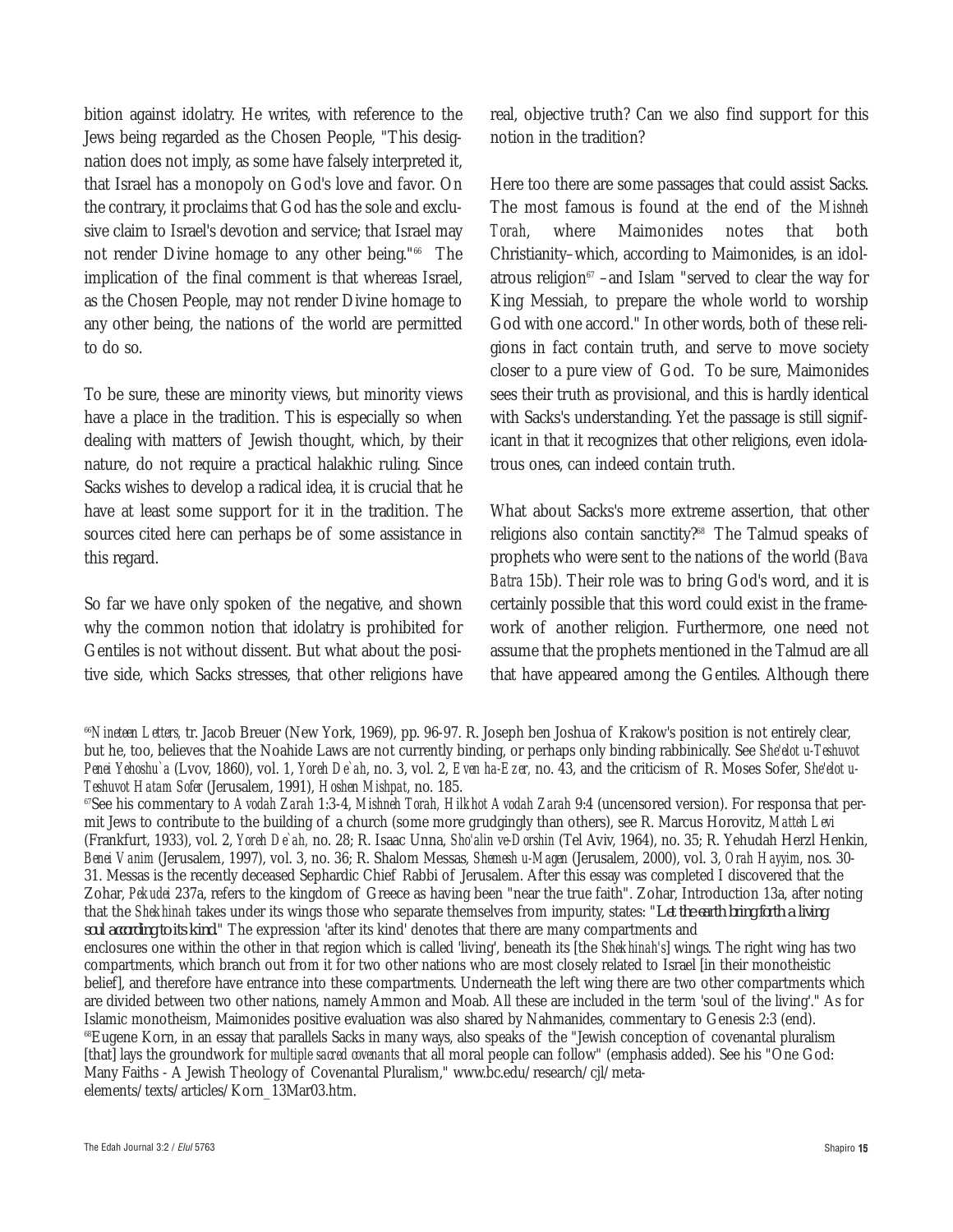bition against idolatry. He writes, with reference to the Jews being regarded as the Chosen People, "This designation does not imply, as some have falsely interpreted it, that Israel has a monopoly on God's love and favor. On the contrary, it proclaims that God has the sole and exclusive claim to Israel's devotion and service; that Israel may not render Divine homage to any other being."66 The implication of the final comment is that whereas Israel, as the Chosen People, may not render Divine homage to any other being, the nations of the world are permitted to do so.

To be sure, these are minority views, but minority views have a place in the tradition. This is especially so when dealing with matters of Jewish thought, which, by their nature, do not require a practical halakhic ruling. Since Sacks wishes to develop a radical idea, it is crucial that he have at least some support for it in the tradition. The sources cited here can perhaps be of some assistance in this regard.

So far we have only spoken of the negative, and shown why the common notion that idolatry is prohibited for Gentiles is not without dissent. But what about the positive side, which Sacks stresses, that other religions have real, objective truth? Can we also find support for this notion in the tradition?

Here too there are some passages that could assist Sacks. The most famous is found at the end of the *Mishneh Torah*, where Maimonides notes that both Christianity–which, according to Maimonides, is an idolatrous religion $67$  –and Islam "served to clear the way for King Messiah, to prepare the whole world to worship God with one accord." In other words, both of these religions in fact contain truth, and serve to move society closer to a pure view of God. To be sure, Maimonides sees their truth as provisional, and this is hardly identical with Sacks's understanding. Yet the passage is still significant in that it recognizes that other religions, even idolatrous ones, can indeed contain truth.

What about Sacks's more extreme assertion, that other religions also contain sanctity?<sup>68</sup> The Talmud speaks of prophets who were sent to the nations of the world (*Bava Batra* 15b). Their role was to bring God's word, and it is certainly possible that this word could exist in the framework of another religion. Furthermore, one need not assume that the prophets mentioned in the Talmud are all that have appeared among the Gentiles. Although there

<sup>&</sup>lt;sup>66</sup>Nineteen Letters, tr. Jacob Breuer (New York, 1969), pp. 96-97. R. Joseph ben Joshua of Krakow's position is not entirely clear, but he, too, believes that the Noahide Laws are not currently binding, or perhaps only binding rabbinically. See *She'elot u-Teshuvot Penei Yehoshu`a* (Lvov, 1860), vol. 1, *Yoreh De`ah*, no. 3, vol. 2, *Even ha-Ezer,* no. 43, and the criticism of R. Moses Sofer, *She'elot u-Teshuvot Hatam Sofer* (Jerusalem, 1991), *Hoshen Mishpat*, no. 185.

<sup>67</sup>See his commentary to *Avodah Zarah* 1:3-4, *Mishneh Torah, Hilkhot Avodah Zarah* 9:4 (uncensored version). For responsa that permit Jews to contribute to the building of a church (some more grudgingly than others), see R. Marcus Horovitz, *Matteh Levi* (Frankfurt, 1933), vol. 2, *Yoreh De`ah,* no. 28; R. Isaac Unna, *Sho'alin ve-Dorshin* (Tel Aviv, 1964), no. 35; R. Yehudah Herzl Henkin, *Benei Vanim* (Jerusalem, 1997), vol. 3, no. 36; R. Shalom Messas, *Shemesh u-Magen* (Jerusalem, 2000), vol. 3, *Orah Hayyim*, nos. 30- 31. Messas is the recently deceased Sephardic Chief Rabbi of Jerusalem. After this essay was completed I discovered that the Zohar, *Pekudei* 237a, refers to the kingdom of Greece as having been "near the true faith". Zohar, Introduction 13a, after noting that the *Shekhinah* takes under its wings those who separate themselves from impurity, states: "*Let the earth bring forth a living soul according to its kind.*" The expression 'after its kind' denotes that there are many compartments and enclosures one within the other in that region which is called 'living', beneath its [the *Shekhinah's*] wings. The right wing has two compartments, which branch out from it for two other nations who are most closely related to Israel [in their monotheistic belief], and therefore have entrance into these compartments. Underneath the left wing there are two other compartments which are divided between two other nations, namely Ammon and Moab. All these are included in the term 'soul of the living'." As for Islamic monotheism, Maimonides positive evaluation was also shared by Nahmanides, commentary to Genesis 2:3 (end). <sup>68</sup>Eugene Korn, in an essay that parallels Sacks in many ways, also speaks of the "Jewish conception of covenantal pluralism [that] lays the groundwork for *multiple sacred covenants* that all moral people can follow" (emphasis added). See his "One God: Many Faiths - A Jewish Theology of Covenantal Pluralism," www.bc.edu/research/cjl/metaelements/texts/articles/Korn\_13Mar03.htm.